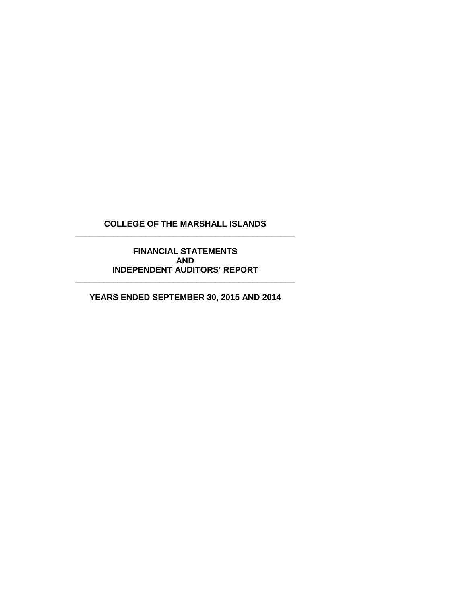**COLLEGE OF THE MARSHALL ISLANDS \_\_\_\_\_\_\_\_\_\_\_\_\_\_\_\_\_\_\_\_\_\_\_\_\_\_\_\_\_\_\_\_\_\_\_\_\_\_\_\_\_\_\_\_\_\_\_**

> **FINANCIAL STATEMENTS AND INDEPENDENT AUDITORS' REPORT**

**YEARS ENDED SEPTEMBER 30, 2015 AND 2014**

**\_\_\_\_\_\_\_\_\_\_\_\_\_\_\_\_\_\_\_\_\_\_\_\_\_\_\_\_\_\_\_\_\_\_\_\_\_\_\_\_\_\_\_\_\_\_\_**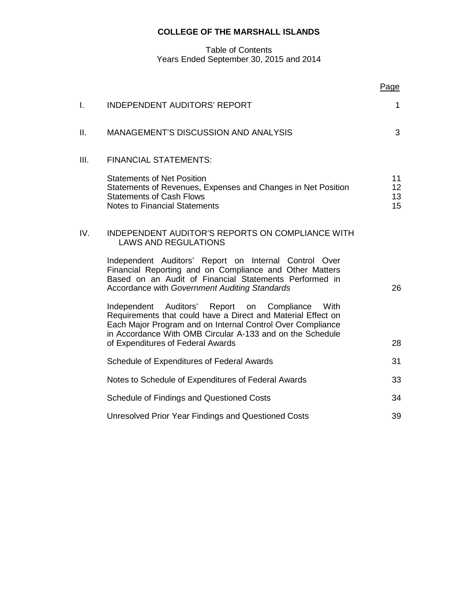## Table of Contents Years Ended September 30, 2015 and 2014

|      |                                                                                                                                                                                                                                                                                       | Page                              |
|------|---------------------------------------------------------------------------------------------------------------------------------------------------------------------------------------------------------------------------------------------------------------------------------------|-----------------------------------|
| I.   | <b>INDEPENDENT AUDITORS' REPORT</b>                                                                                                                                                                                                                                                   | 1                                 |
| Ш.   | <b>MANAGEMENT'S DISCUSSION AND ANALYSIS</b>                                                                                                                                                                                                                                           | 3                                 |
| III. | <b>FINANCIAL STATEMENTS:</b>                                                                                                                                                                                                                                                          |                                   |
|      | <b>Statements of Net Position</b><br>Statements of Revenues, Expenses and Changes in Net Position<br><b>Statements of Cash Flows</b><br><b>Notes to Financial Statements</b>                                                                                                          | 11<br>12 <sup>2</sup><br>13<br>15 |
| IV.  | <b>INDEPENDENT AUDITOR'S REPORTS ON COMPLIANCE WITH</b><br><b>LAWS AND REGULATIONS</b>                                                                                                                                                                                                |                                   |
|      | Independent Auditors' Report on Internal Control Over<br>Financial Reporting and on Compliance and Other Matters<br>Based on an Audit of Financial Statements Performed in<br>Accordance with Government Auditing Standards                                                           | 26                                |
|      | Independent Auditors' Report on<br>Compliance<br>With<br>Requirements that could have a Direct and Material Effect on<br>Each Major Program and on Internal Control Over Compliance<br>in Accordance With OMB Circular A-133 and on the Schedule<br>of Expenditures of Federal Awards | 28                                |
|      | Schedule of Expenditures of Federal Awards                                                                                                                                                                                                                                            | 31                                |
|      | Notes to Schedule of Expenditures of Federal Awards                                                                                                                                                                                                                                   | 33                                |
|      | Schedule of Findings and Questioned Costs                                                                                                                                                                                                                                             | 34                                |
|      | Unresolved Prior Year Findings and Questioned Costs                                                                                                                                                                                                                                   | 39                                |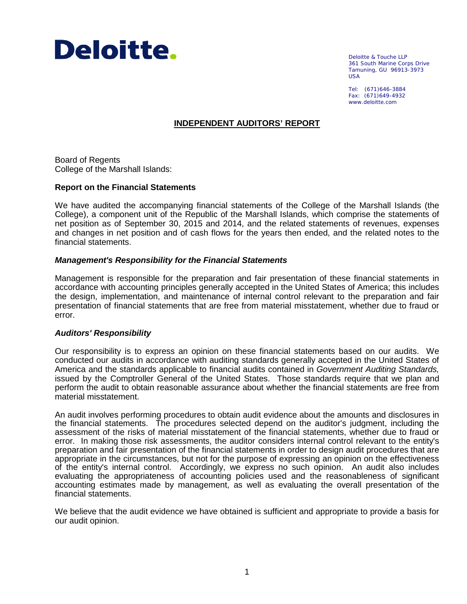

Deloitte & Touche LLP 361 South Marine Corps Drive Tamuning, GU 96913-3973 USA

Tel: (671)646-3884 Fax: (671)649-4932 www.deloitte.com

# **INDEPENDENT AUDITORS' REPORT**

Board of Regents College of the Marshall Islands:

### **Report on the Financial Statements**

We have audited the accompanying financial statements of the College of the Marshall Islands (the College), a component unit of the Republic of the Marshall Islands, which comprise the statements of net position as of September 30, 2015 and 2014, and the related statements of revenues, expenses and changes in net position and of cash flows for the years then ended, and the related notes to the financial statements.

### *Management's Responsibility for the Financial Statements*

Management is responsible for the preparation and fair presentation of these financial statements in accordance with accounting principles generally accepted in the United States of America; this includes the design, implementation, and maintenance of internal control relevant to the preparation and fair presentation of financial statements that are free from material misstatement, whether due to fraud or error.

#### *Auditors' Responsibility*

Our responsibility is to express an opinion on these financial statements based on our audits. We conducted our audits in accordance with auditing standards generally accepted in the United States of America and the standards applicable to financial audits contained in *Government Auditing Standards,*  issued by the Comptroller General of the United States. Those standards require that we plan and perform the audit to obtain reasonable assurance about whether the financial statements are free from material misstatement.

An audit involves performing procedures to obtain audit evidence about the amounts and disclosures in the financial statements. The procedures selected depend on the auditor's judgment, including the assessment of the risks of material misstatement of the financial statements, whether due to fraud or error. In making those risk assessments, the auditor considers internal control relevant to the entity's preparation and fair presentation of the financial statements in order to design audit procedures that are appropriate in the circumstances, but not for the purpose of expressing an opinion on the effectiveness of the entity's internal control. Accordingly, we express no such opinion. An audit also includes evaluating the appropriateness of accounting policies used and the reasonableness of significant accounting estimates made by management, as well as evaluating the overall presentation of the financial statements.

We believe that the audit evidence we have obtained is sufficient and appropriate to provide a basis for our audit opinion.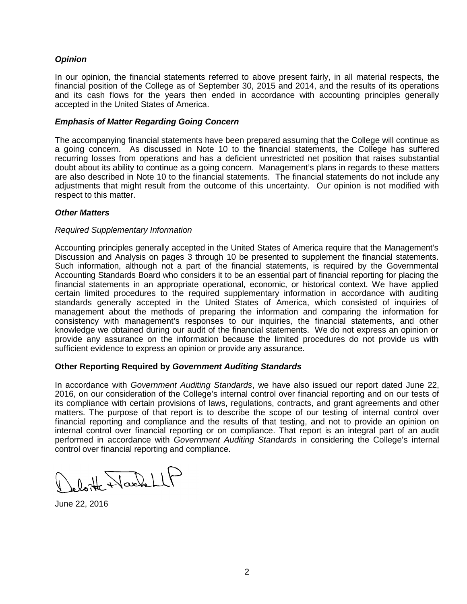# *Opinion*

In our opinion, the financial statements referred to above present fairly, in all material respects, the financial position of the College as of September 30, 2015 and 2014, and the results of its operations and its cash flows for the years then ended in accordance with accounting principles generally accepted in the United States of America.

# *Emphasis of Matter Regarding Going Concern*

The accompanying financial statements have been prepared assuming that the College will continue as a going concern. As discussed in Note 10 to the financial statements, the College has suffered recurring losses from operations and has a deficient unrestricted net position that raises substantial doubt about its ability to continue as a going concern. Management's plans in regards to these matters are also described in Note 10 to the financial statements. The financial statements do not include any adjustments that might result from the outcome of this uncertainty. Our opinion is not modified with respect to this matter.

### *Other Matters*

### *Required Supplementary Information*

Accounting principles generally accepted in the United States of America require that the Management's Discussion and Analysis on pages 3 through 10 be presented to supplement the financial statements. Such information, although not a part of the financial statements, is required by the Governmental Accounting Standards Board who considers it to be an essential part of financial reporting for placing the financial statements in an appropriate operational, economic, or historical context. We have applied certain limited procedures to the required supplementary information in accordance with auditing standards generally accepted in the United States of America, which consisted of inquiries of management about the methods of preparing the information and comparing the information for consistency with management's responses to our inquiries, the financial statements, and other knowledge we obtained during our audit of the financial statements. We do not express an opinion or provide any assurance on the information because the limited procedures do not provide us with sufficient evidence to express an opinion or provide any assurance.

### **Other Reporting Required by** *Government Auditing Standards*

In accordance with *Government Auditing Standards*, we have also issued our report dated June 22, 2016, on our consideration of the College's internal control over financial reporting and on our tests of its compliance with certain provisions of laws, regulations, contracts, and grant agreements and other matters. The purpose of that report is to describe the scope of our testing of internal control over financial reporting and compliance and the results of that testing, and not to provide an opinion on internal control over financial reporting or on compliance. That report is an integral part of an audit performed in accordance with *Government Auditing Standards* in considering the College's internal control over financial reporting and compliance.

leloith NarkellP

June 22, 2016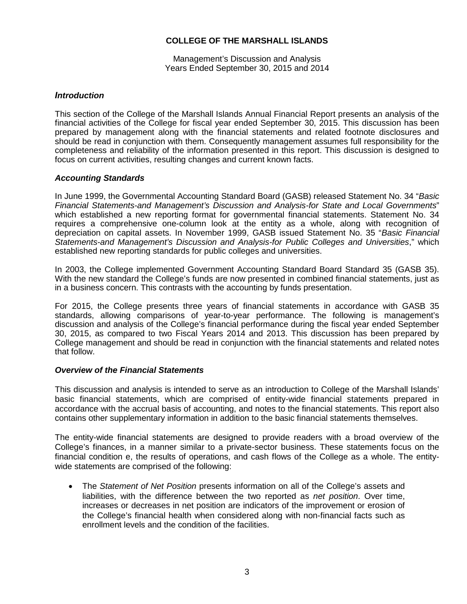Management's Discussion and Analysis Years Ended September 30, 2015 and 2014

# *Introduction*

This section of the College of the Marshall Islands Annual Financial Report presents an analysis of the financial activities of the College for fiscal year ended September 30, 2015. This discussion has been prepared by management along with the financial statements and related footnote disclosures and should be read in conjunction with them. Consequently management assumes full responsibility for the completeness and reliability of the information presented in this report. This discussion is designed to focus on current activities, resulting changes and current known facts.

# *Accounting Standards*

In June 1999, the Governmental Accounting Standard Board (GASB) released Statement No. 34 "*Basic Financial Statements-and Management's Discussion and Analysis-for State and Local Governments*" which established a new reporting format for governmental financial statements. Statement No. 34 requires a comprehensive one-column look at the entity as a whole, along with recognition of depreciation on capital assets. In November 1999, GASB issued Statement No. 35 "*Basic Financial Statements-and Management's Discussion and Analysis-for Public Colleges and Universities*," which established new reporting standards for public colleges and universities.

In 2003, the College implemented Government Accounting Standard Board Standard 35 (GASB 35). With the new standard the College's funds are now presented in combined financial statements, just as in a business concern. This contrasts with the accounting by funds presentation.

For 2015, the College presents three years of financial statements in accordance with GASB 35 standards, allowing comparisons of year-to-year performance. The following is management's discussion and analysis of the College's financial performance during the fiscal year ended September 30, 2015, as compared to two Fiscal Years 2014 and 2013. This discussion has been prepared by College management and should be read in conjunction with the financial statements and related notes that follow.

## *Overview of the Financial Statements*

This discussion and analysis is intended to serve as an introduction to College of the Marshall Islands' basic financial statements, which are comprised of entity-wide financial statements prepared in accordance with the accrual basis of accounting, and notes to the financial statements. This report also contains other supplementary information in addition to the basic financial statements themselves.

The entity-wide financial statements are designed to provide readers with a broad overview of the College's finances, in a manner similar to a private-sector business. These statements focus on the financial condition e, the results of operations, and cash flows of the College as a whole. The entitywide statements are comprised of the following:

• The *Statement of Net Position* presents information on all of the College's assets and liabilities, with the difference between the two reported as *net position*. Over time, increases or decreases in net position are indicators of the improvement or erosion of the College's financial health when considered along with non-financial facts such as enrollment levels and the condition of the facilities.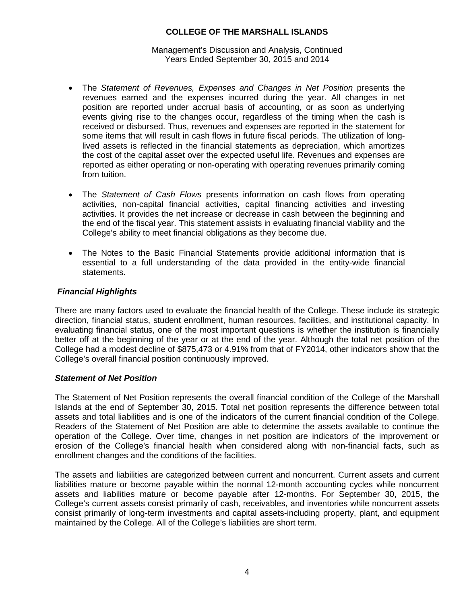Management's Discussion and Analysis, Continued Years Ended September 30, 2015 and 2014

- The *Statement of Revenues, Expenses and Changes in Net Position* presents the revenues earned and the expenses incurred during the year. All changes in net position are reported under accrual basis of accounting, or as soon as underlying events giving rise to the changes occur, regardless of the timing when the cash is received or disbursed. Thus, revenues and expenses are reported in the statement for some items that will result in cash flows in future fiscal periods. The utilization of longlived assets is reflected in the financial statements as depreciation, which amortizes the cost of the capital asset over the expected useful life. Revenues and expenses are reported as either operating or non-operating with operating revenues primarily coming from tuition.
- The *Statement of Cash Flows* presents information on cash flows from operating activities, non-capital financial activities, capital financing activities and investing activities. It provides the net increase or decrease in cash between the beginning and the end of the fiscal year. This statement assists in evaluating financial viability and the College's ability to meet financial obligations as they become due.
- The Notes to the Basic Financial Statements provide additional information that is essential to a full understanding of the data provided in the entity-wide financial statements.

# *Financial Highlights*

There are many factors used to evaluate the financial health of the College. These include its strategic direction, financial status, student enrollment, human resources, facilities, and institutional capacity. In evaluating financial status, one of the most important questions is whether the institution is financially better off at the beginning of the year or at the end of the year. Although the total net position of the College had a modest decline of \$875,473 or 4.91% from that of FY2014, other indicators show that the College's overall financial position continuously improved.

### *Statement of Net Position*

The Statement of Net Position represents the overall financial condition of the College of the Marshall Islands at the end of September 30, 2015. Total net position represents the difference between total assets and total liabilities and is one of the indicators of the current financial condition of the College. Readers of the Statement of Net Position are able to determine the assets available to continue the operation of the College. Over time, changes in net position are indicators of the improvement or erosion of the College's financial health when considered along with non-financial facts, such as enrollment changes and the conditions of the facilities.

The assets and liabilities are categorized between current and noncurrent. Current assets and current liabilities mature or become payable within the normal 12-month accounting cycles while noncurrent assets and liabilities mature or become payable after 12-months. For September 30, 2015, the College's current assets consist primarily of cash, receivables, and inventories while noncurrent assets consist primarily of long-term investments and capital assets-including property, plant, and equipment maintained by the College. All of the College's liabilities are short term.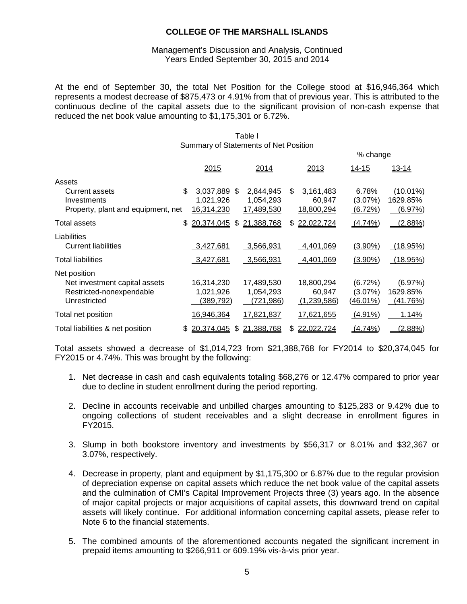### Management's Discussion and Analysis, Continued Years Ended September 30, 2015 and 2014

At the end of September 30, the total Net Position for the College stood at \$16,946,364 which represents a modest decrease of \$875,473 or 4.91% from that of previous year. This is attributed to the continuous decline of the capital assets due to the significant provision of non-cash expense that reduced the net book value amounting to \$1,175,301 or 6.72%.

### Table I Summary of Statements of Net Position

|                                    |                    |                   |                  | % change   |             |
|------------------------------------|--------------------|-------------------|------------------|------------|-------------|
|                                    | 2015               | 2014              | 2013             | 14-15      | $13 - 14$   |
| Assets                             |                    |                   |                  |            |             |
| Current assets                     | \$<br>3,037,889 \$ | 2,844,945         | 3,161,483<br>\$  | 6.78%      | $(10.01\%)$ |
| Investments                        | 1,021,926          | 1,054,293         | 60,947           | (3.07%)    | 1629.85%    |
| Property, plant and equipment, net | 16,314,230         | 17,489,530        | 18,800,294       | $(6.72\%)$ | (6.97%)     |
| Total assets                       | 20,374,045<br>S    | 21,388,768<br>S   | 22,022,724<br>\$ | $(4.74\%)$ | $(2.88\%)$  |
| Liabilities                        |                    |                   |                  |            |             |
| <b>Current liabilities</b>         | 3,427,681          | 3,566,931         | 4,401,069        | $(3.90\%)$ | (18.95%)    |
| Total liabilities                  | 3,427,681          | 3,566,931         | 4,401,069        | $(3.90\%)$ | $(18.95\%)$ |
| Net position                       |                    |                   |                  |            |             |
| Net investment capital assets      | 16,314,230         | 17,489,530        | 18,800,294       | (6.72%)    | (6.97%)     |
| Restricted-nonexpendable           | 1,021,926          | 1,054,293         | 60,947           | (3.07%)    | 1629.85%    |
| Unrestricted                       | (389,792)          | (721,986)         | (1,239,586)      | (46.01%)   | (41.76%)    |
| Total net position                 | 16,946,364         | 17,821,837        | 17,621,655       | $(4.91\%)$ | 1.14%       |
| Total liabilities & net position   | 20,374,045<br>\$   | 21,388,768<br>\$. | 22,022,724<br>\$ | (4.74%     | $(2.88\%)$  |

Total assets showed a decrease of \$1,014,723 from \$21,388,768 for FY2014 to \$20,374,045 for FY2015 or 4.74%. This was brought by the following:

- 1. Net decrease in cash and cash equivalents totaling \$68,276 or 12.47% compared to prior year due to decline in student enrollment during the period reporting.
- 2. Decline in accounts receivable and unbilled charges amounting to \$125,283 or 9.42% due to ongoing collections of student receivables and a slight decrease in enrollment figures in FY2015.
- 3. Slump in both bookstore inventory and investments by \$56,317 or 8.01% and \$32,367 or 3.07%, respectively.
- 4. Decrease in property, plant and equipment by \$1,175,300 or 6.87% due to the regular provision of depreciation expense on capital assets which reduce the net book value of the capital assets and the culmination of CMI's Capital Improvement Projects three (3) years ago. In the absence of major capital projects or major acquisitions of capital assets, this downward trend on capital assets will likely continue. For additional information concerning capital assets, please refer to Note 6 to the financial statements.
- 5. The combined amounts of the aforementioned accounts negated the significant increment in prepaid items amounting to \$266,911 or 609.19% vis-à-vis prior year.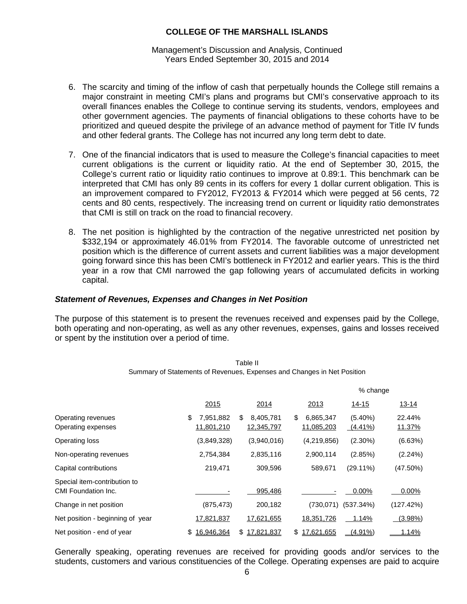Management's Discussion and Analysis, Continued Years Ended September 30, 2015 and 2014

- 6. The scarcity and timing of the inflow of cash that perpetually hounds the College still remains a major constraint in meeting CMI's plans and programs but CMI's conservative approach to its overall finances enables the College to continue serving its students, vendors, employees and other government agencies. The payments of financial obligations to these cohorts have to be prioritized and queued despite the privilege of an advance method of payment for Title IV funds and other federal grants. The College has not incurred any long term debt to date.
- 7. One of the financial indicators that is used to measure the College's financial capacities to meet current obligations is the current or liquidity ratio. At the end of September 30, 2015, the College's current ratio or liquidity ratio continues to improve at 0.89:1. This benchmark can be interpreted that CMI has only 89 cents in its coffers for every 1 dollar current obligation. This is an improvement compared to FY2012, FY2013 & FY2014 which were pegged at 56 cents, 72 cents and 80 cents, respectively. The increasing trend on current or liquidity ratio demonstrates that CMI is still on track on the road to financial recovery.
- 8. The net position is highlighted by the contraction of the negative unrestricted net position by \$332,194 or approximately 46.01% from FY2014. The favorable outcome of unrestricted net position which is the difference of current assets and current liabilities was a major development going forward since this has been CMI's bottleneck in FY2012 and earlier years. This is the third year in a row that CMI narrowed the gap following years of accumulated deficits in working capital.

### *Statement of Revenues, Expenses and Changes in Net Position*

The purpose of this statement is to present the revenues received and expenses paid by the College, both operating and non-operating, as well as any other revenues, expenses, gains and losses received or spent by the institution over a period of time.

|                                                     |                               |                               |                               | % change                 |                         |
|-----------------------------------------------------|-------------------------------|-------------------------------|-------------------------------|--------------------------|-------------------------|
|                                                     | 2015                          | 2014                          | 2013                          | 14-15                    | <u>13-14</u>            |
| Operating revenues<br>Operating expenses            | \$<br>7,951,882<br>11,801,210 | \$<br>8,405,781<br>12,345,797 | \$<br>6,865,347<br>11,085,203 | $(5.40\%)$<br>$(4.41\%)$ | 22.44%<br><u>11.37%</u> |
| <b>Operating loss</b>                               | (3,849,328)                   | (3,940,016)                   | (4,219,856)                   | $(2.30\%)$               | (6.63%)                 |
| Non-operating revenues                              | 2,754,384                     | 2,835,116                     | 2,900,114                     | (2.85%)                  | (2.24%)                 |
| Capital contributions                               | 219,471                       | 309,596                       | 589,671                       | $(29.11\%)$              | (47.50%)                |
| Special item-contribution to<br>CMI Foundation Inc. |                               | 995,486                       |                               | 0.00%                    | $0.00\%$                |
| Change in net position                              | (875, 473)                    | 200,182                       | (730, 071)                    | (537.34%)                | (127.42%)               |
| Net position - beginning of year                    | 17,821,837                    | 17,621,655                    | 18,351,726                    | 1.14%                    | $(3.98\%)$              |
| Net position - end of year                          | 16,946,364<br>\$              | 17,821,837<br>S               | \$17,621,655                  | $(4.91\%)$               | <u>1.14%</u>            |

Table II Summary of Statements of Revenues, Expenses and Changes in Net Position

Generally speaking, operating revenues are received for providing goods and/or services to the students, customers and various constituencies of the College. Operating expenses are paid to acquire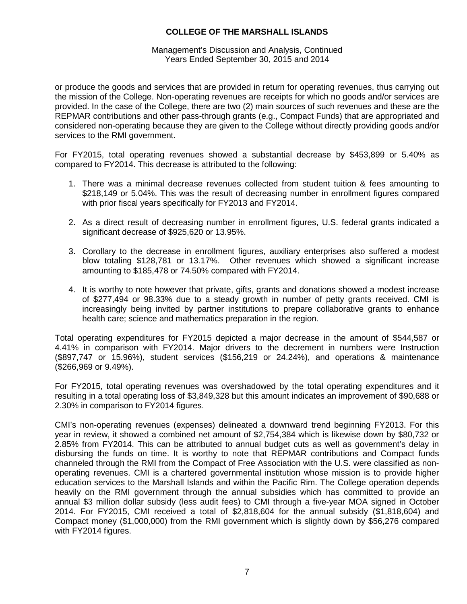### Management's Discussion and Analysis, Continued Years Ended September 30, 2015 and 2014

or produce the goods and services that are provided in return for operating revenues, thus carrying out the mission of the College. Non-operating revenues are receipts for which no goods and/or services are provided. In the case of the College, there are two (2) main sources of such revenues and these are the REPMAR contributions and other pass-through grants (e.g., Compact Funds) that are appropriated and considered non-operating because they are given to the College without directly providing goods and/or services to the RMI government.

For FY2015, total operating revenues showed a substantial decrease by \$453,899 or 5.40% as compared to FY2014. This decrease is attributed to the following:

- 1. There was a minimal decrease revenues collected from student tuition & fees amounting to \$218,149 or 5.04%. This was the result of decreasing number in enrollment figures compared with prior fiscal years specifically for FY2013 and FY2014.
- 2. As a direct result of decreasing number in enrollment figures, U.S. federal grants indicated a significant decrease of \$925,620 or 13.95%.
- 3. Corollary to the decrease in enrollment figures, auxiliary enterprises also suffered a modest blow totaling \$128,781 or 13.17%. Other revenues which showed a significant increase amounting to \$185,478 or 74.50% compared with FY2014.
- 4. It is worthy to note however that private, gifts, grants and donations showed a modest increase of \$277,494 or 98.33% due to a steady growth in number of petty grants received. CMI is increasingly being invited by partner institutions to prepare collaborative grants to enhance health care; science and mathematics preparation in the region.

Total operating expenditures for FY2015 depicted a major decrease in the amount of \$544,587 or 4.41% in comparison with FY2014. Major drivers to the decrement in numbers were Instruction (\$897,747 or 15.96%), student services (\$156,219 or 24.24%), and operations & maintenance (\$266,969 or 9.49%).

For FY2015, total operating revenues was overshadowed by the total operating expenditures and it resulting in a total operating loss of \$3,849,328 but this amount indicates an improvement of \$90,688 or 2.30% in comparison to FY2014 figures.

CMI's non-operating revenues (expenses) delineated a downward trend beginning FY2013. For this year in review, it showed a combined net amount of \$2,754,384 which is likewise down by \$80,732 or 2.85% from FY2014. This can be attributed to annual budget cuts as well as government's delay in disbursing the funds on time. It is worthy to note that REPMAR contributions and Compact funds channeled through the RMI from the Compact of Free Association with the U.S. were classified as nonoperating revenues. CMI is a chartered governmental institution whose mission is to provide higher education services to the Marshall Islands and within the Pacific Rim. The College operation depends heavily on the RMI government through the annual subsidies which has committed to provide an annual \$3 million dollar subsidy (less audit fees) to CMI through a five-year MOA signed in October 2014. For FY2015, CMI received a total of \$2,818,604 for the annual subsidy (\$1,818,604) and Compact money (\$1,000,000) from the RMI government which is slightly down by \$56,276 compared with FY2014 figures.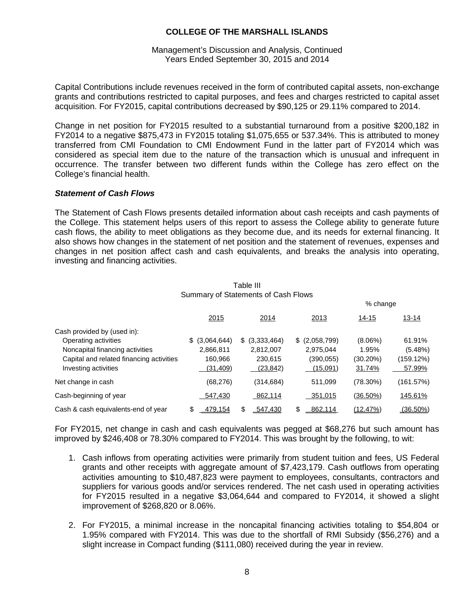Management's Discussion and Analysis, Continued Years Ended September 30, 2015 and 2014

Capital Contributions include revenues received in the form of contributed capital assets, non-exchange grants and contributions restricted to capital purposes, and fees and charges restricted to capital asset acquisition. For FY2015, capital contributions decreased by \$90,125 or 29.11% compared to 2014.

Change in net position for FY2015 resulted to a substantial turnaround from a positive \$200,182 in FY2014 to a negative \$875,473 in FY2015 totaling \$1,075,655 or 537.34%. This is attributed to money transferred from CMI Foundation to CMI Endowment Fund in the latter part of FY2014 which was considered as special item due to the nature of the transaction which is unusual and infrequent in occurrence. The transfer between two different funds within the College has zero effect on the College's financial health.

### *Statement of Cash Flows*

The Statement of Cash Flows presents detailed information about cash receipts and cash payments of the College. This statement helps users of this report to assess the College ability to generate future cash flows, the ability to meet obligations as they become due, and its needs for external financing. It also shows how changes in the statement of net position and the statement of revenues, expenses and changes in net position affect cash and cash equivalents, and breaks the analysis into operating, investing and financing activities.

|                                          |                | <b>Udillium V OF Utaturium U Utaturi TUWU</b> |                |             |             |
|------------------------------------------|----------------|-----------------------------------------------|----------------|-------------|-------------|
|                                          |                |                                               |                | % change    |             |
|                                          | 2015           | 2014                                          | 2013           | 14-15       | $13 - 14$   |
| Cash provided by (used in):              |                |                                               |                |             |             |
| Operating activities                     | \$ (3,064,644) | (3,333,464)<br>\$                             | \$ (2,058,799) | $(8.06\%)$  | 61.91%      |
| Noncapital financing activities          | 2,866,811      | 2,812,007                                     | 2,975,044      | 1.95%       | (5.48%)     |
| Capital and related financing activities | 160,966        | 230,615                                       | (390, 055)     | (30.20%)    | (159.12%)   |
| Investing activities                     | (31,409)       | (23, 842)                                     | (15,091)       | 31.74%      | 57.99%      |
| Net change in cash                       | (68, 276)      | (314, 684)                                    | 511,099        | $(78.30\%)$ | (161.57%)   |
| Cash-beginning of year                   | 547,430        | 862,114                                       | 351,015        | (36.50%)    | 145.61%     |
| Cash & cash equivalents-end of year      | 479,154<br>\$  | 547,430                                       | \$<br>862,114  | (12.47%)    | $(36.50\%)$ |

### Table III Summary of Statements of Cash Flows

For FY2015, net change in cash and cash equivalents was pegged at \$68,276 but such amount has improved by \$246,408 or 78.30% compared to FY2014. This was brought by the following, to wit:

- 1. Cash inflows from operating activities were primarily from student tuition and fees, US Federal grants and other receipts with aggregate amount of \$7,423,179. Cash outflows from operating activities amounting to \$10,487,823 were payment to employees, consultants, contractors and suppliers for various goods and/or services rendered. The net cash used in operating activities for FY2015 resulted in a negative \$3,064,644 and compared to FY2014, it showed a slight improvement of \$268,820 or 8.06%.
- 2. For FY2015, a minimal increase in the noncapital financing activities totaling to \$54,804 or 1.95% compared with FY2014. This was due to the shortfall of RMI Subsidy (\$56,276) and a slight increase in Compact funding (\$111,080) received during the year in review.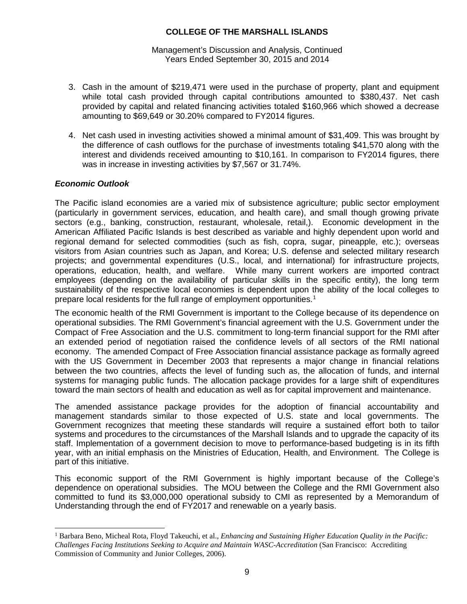Management's Discussion and Analysis, Continued Years Ended September 30, 2015 and 2014

- 3. Cash in the amount of \$219,471 were used in the purchase of property, plant and equipment while total cash provided through capital contributions amounted to \$380,437. Net cash provided by capital and related financing activities totaled \$160,966 which showed a decrease amounting to \$69,649 or 30.20% compared to FY2014 figures.
- 4. Net cash used in investing activities showed a minimal amount of \$31,409. This was brought by the difference of cash outflows for the purchase of investments totaling \$41,570 along with the interest and dividends received amounting to \$10,161. In comparison to FY2014 figures, there was in increase in investing activities by \$7,567 or 31.74%.

# *Economic Outlook*

The Pacific island economies are a varied mix of subsistence agriculture; public sector employment (particularly in government services, education, and health care), and small though growing private sectors (e.g., banking, construction, restaurant, wholesale, retail,). Economic development in the American Affiliated Pacific Islands is best described as variable and highly dependent upon world and regional demand for selected commodities (such as fish, copra, sugar, pineapple, etc.); overseas visitors from Asian countries such as Japan, and Korea; U.S. defense and selected military research projects; and governmental expenditures (U.S., local, and international) for infrastructure projects, operations, education, health, and welfare. While many current workers are imported contract employees (depending on the availability of particular skills in the specific entity), the long term sustainability of the respective local economies is dependent upon the ability of the local colleges to prepare local residents for the full range of employment opportunities. [1](#page-10-0)

The economic health of the RMI Government is important to the College because of its dependence on operational subsidies. The RMI Government's financial agreement with the U.S. Government under the Compact of Free Association and the U.S. commitment to long-term financial support for the RMI after an extended period of negotiation raised the confidence levels of all sectors of the RMI national economy. The amended Compact of Free Association financial assistance package as formally agreed with the US Government in December 2003 that represents a major change in financial relations between the two countries, affects the level of funding such as, the allocation of funds, and internal systems for managing public funds. The allocation package provides for a large shift of expenditures toward the main sectors of health and education as well as for capital improvement and maintenance.

The amended assistance package provides for the adoption of financial accountability and management standards similar to those expected of U.S. state and local governments. The Government recognizes that meeting these standards will require a sustained effort both to tailor systems and procedures to the circumstances of the Marshall Islands and to upgrade the capacity of its staff. Implementation of a government decision to move to performance-based budgeting is in its fifth year, with an initial emphasis on the Ministries of Education, Health, and Environment. The College is part of this initiative.

This economic support of the RMI Government is highly important because of the College's dependence on operational subsidies. The MOU between the College and the RMI Government also committed to fund its \$3,000,000 operational subsidy to CMI as represented by a Memorandum of Understanding through the end of FY2017 and renewable on a yearly basis.

<span id="page-10-0"></span> <sup>1</sup> Barbara Beno, Micheal Rota, Floyd Takeuchi, et al., *Enhancing and Sustaining Higher Education Quality in the Pacific: Challenges Facing Institutions Seeking to Acquire and Maintain WASC-Accreditation* (San Francisco: Accrediting Commission of Community and Junior Colleges, 2006).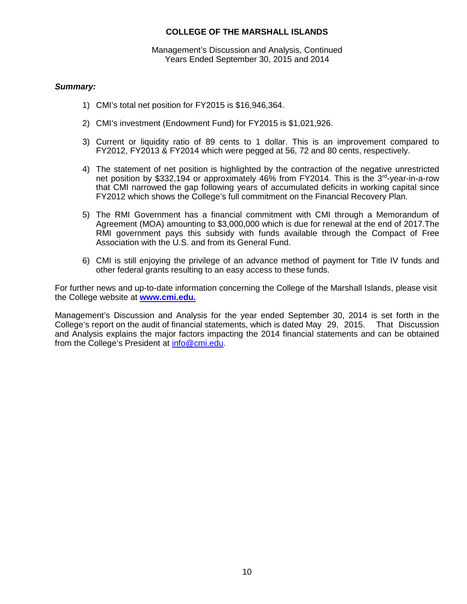Management's Discussion and Analysis, Continued Years Ended September 30, 2015 and 2014

# *Summary:*

- 1) CMI's total net position for FY2015 is \$16,946,364.
- 2) CMI's investment (Endowment Fund) for FY2015 is \$1,021,926.
- 3) Current or liquidity ratio of 89 cents to 1 dollar. This is an improvement compared to FY2012, FY2013 & FY2014 which were pegged at 56, 72 and 80 cents, respectively.
- 4) The statement of net position is highlighted by the contraction of the negative unrestricted net position by \$332,194 or approximately 46% from FY2014. This is the  $3^{rd}$ -year-in-a-row that CMI narrowed the gap following years of accumulated deficits in working capital since FY2012 which shows the College's full commitment on the Financial Recovery Plan.
- 5) The RMI Government has a financial commitment with CMI through a Memorandum of Agreement (MOA) amounting to \$3,000,000 which is due for renewal at the end of 2017.The RMI government pays this subsidy with funds available through the Compact of Free Association with the U.S. and from its General Fund.
- 6) CMI is still enjoying the privilege of an advance method of payment for Title IV funds and other federal grants resulting to an easy access to these funds.

For further news and up-to-date information concerning the College of the Marshall Islands, please visit the College website at **www.cmi.edu.**

Management's Discussion and Analysis for the year ended September 30, 2014 is set forth in the College's report on the audit of financial statements, which is dated May 29, 2015. That Discussion and Analysis explains the major factors impacting the 2014 financial statements and can be obtained from the College's President at [info@cmi.edu.](mailto:info@cmi.edu)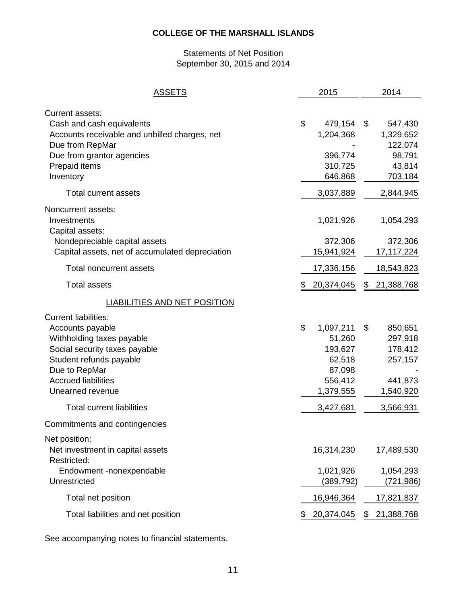# Statements of Net Position September 30, 2015 and 2014

| <b>ASSETS</b>                                                                                                                                                                                               | 2015                                                                             |    | 2014                                                             |
|-------------------------------------------------------------------------------------------------------------------------------------------------------------------------------------------------------------|----------------------------------------------------------------------------------|----|------------------------------------------------------------------|
| Current assets:                                                                                                                                                                                             |                                                                                  |    |                                                                  |
| Cash and cash equivalents<br>Accounts receivable and unbilled charges, net<br>Due from RepMar                                                                                                               | \$<br>479,154<br>1,204,368                                                       | \$ | 547,430<br>1,329,652<br>122,074                                  |
| Due from grantor agencies<br>Prepaid items<br>Inventory                                                                                                                                                     | 396,774<br>310,725<br>646,868                                                    |    | 98,791<br>43,814<br>703,184                                      |
| <b>Total current assets</b>                                                                                                                                                                                 | 3,037,889                                                                        |    | 2,844,945                                                        |
| Noncurrent assets:<br>Investments<br>Capital assets:                                                                                                                                                        | 1,021,926                                                                        |    | 1,054,293                                                        |
| Nondepreciable capital assets<br>Capital assets, net of accumulated depreciation                                                                                                                            | 372,306<br>15,941,924                                                            |    | 372,306<br>17,117,224                                            |
| <b>Total noncurrent assets</b>                                                                                                                                                                              | 17,336,156                                                                       |    | 18,543,823                                                       |
| <b>Total assets</b>                                                                                                                                                                                         | \$<br>20,374,045                                                                 | \$ | 21,388,768                                                       |
| <u>LIABILITIES AND NET POSITION</u>                                                                                                                                                                         |                                                                                  |    |                                                                  |
| <b>Current liabilities:</b><br>Accounts payable<br>Withholding taxes payable<br>Social security taxes payable<br>Student refunds payable<br>Due to RepMar<br><b>Accrued liabilities</b><br>Unearned revenue | \$<br>1,097,211<br>51,260<br>193,627<br>62,518<br>87,098<br>556,412<br>1,379,555 | \$ | 850,651<br>297,918<br>178,412<br>257,157<br>441,873<br>1,540,920 |
| <b>Total current liabilities</b>                                                                                                                                                                            | 3,427,681                                                                        |    | 3,566,931                                                        |
| Commitments and contingencies                                                                                                                                                                               |                                                                                  |    |                                                                  |
| Net position:<br>Net investment in capital assets<br>Restricted:                                                                                                                                            | 16,314,230                                                                       |    | 17,489,530                                                       |
| Endowment -nonexpendable<br>Unrestricted                                                                                                                                                                    | 1,021,926<br>(389, 792)                                                          |    | 1,054,293<br>(721, 986)                                          |
| Total net position                                                                                                                                                                                          | 16,946,364                                                                       |    | 17,821,837                                                       |
| Total liabilities and net position                                                                                                                                                                          | 20,374,045                                                                       | S  | 21,388,768                                                       |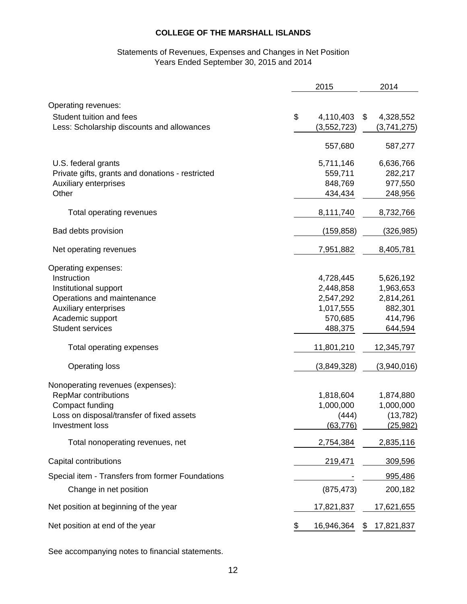# Statements of Revenues, Expenses and Changes in Net Position Years Ended September 30, 2015 and 2014

|                                                  | 2015             | 2014                                   |
|--------------------------------------------------|------------------|----------------------------------------|
| Operating revenues:                              |                  |                                        |
| Student tuition and fees                         | \$<br>4,110,403  | $\boldsymbol{\mathsf{S}}$<br>4,328,552 |
| Less: Scholarship discounts and allowances       | (3,552,723)      | (3,741,275)                            |
|                                                  |                  |                                        |
|                                                  | 557,680          | 587,277                                |
| U.S. federal grants                              | 5,711,146        | 6,636,766                              |
| Private gifts, grants and donations - restricted | 559,711          | 282,217                                |
| Auxiliary enterprises                            | 848,769          | 977,550                                |
| Other                                            | 434,434          | 248,956                                |
| Total operating revenues                         | 8,111,740        | 8,732,766                              |
| Bad debts provision                              | (159, 858)       | (326, 985)                             |
| Net operating revenues                           | 7,951,882        | 8,405,781                              |
| Operating expenses:                              |                  |                                        |
| Instruction                                      | 4,728,445        | 5,626,192                              |
| Institutional support                            | 2,448,858        | 1,963,653                              |
| Operations and maintenance                       | 2,547,292        | 2,814,261                              |
| Auxiliary enterprises                            | 1,017,555        | 882,301                                |
| Academic support                                 | 570,685          | 414,796                                |
| <b>Student services</b>                          | 488,375          | 644,594                                |
| Total operating expenses                         | 11,801,210       | 12,345,797                             |
| <b>Operating loss</b>                            | (3,849,328)      | (3,940,016)                            |
| Nonoperating revenues (expenses):                |                  |                                        |
| <b>RepMar contributions</b>                      | 1,818,604        | 1,874,880                              |
| Compact funding                                  | 1,000,000        | 1,000,000                              |
| Loss on disposal/transfer of fixed assets        | (444)            | (13, 782)                              |
| Investment loss                                  | (63, 776)        | (25, 982)                              |
| Total nonoperating revenues, net                 | 2,754,384        | 2,835,116                              |
| Capital contributions                            | 219,471          | 309,596                                |
| Special item - Transfers from former Foundations |                  | 995,486                                |
| Change in net position                           | (875, 473)       | 200,182                                |
| Net position at beginning of the year            | 17,821,837       | 17,621,655                             |
| Net position at end of the year                  | \$<br>16,946,364 | 17,821,837                             |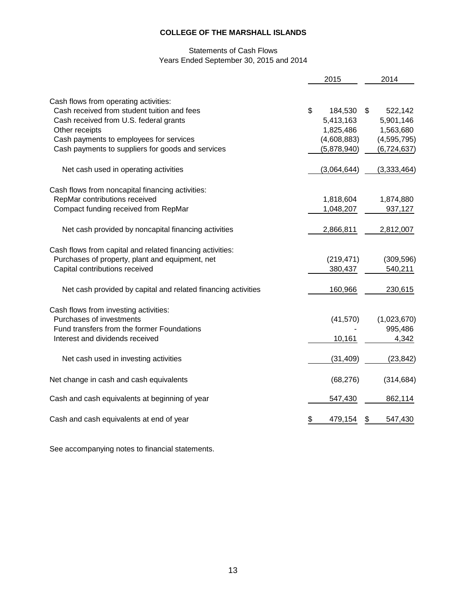## Statements of Cash Flows Years Ended September 30, 2015 and 2014

|                                                               | 2015          | 2014                                 |
|---------------------------------------------------------------|---------------|--------------------------------------|
| Cash flows from operating activities:                         |               |                                      |
| Cash received from student tuition and fees                   | \$<br>184,530 | $\boldsymbol{\mathsf{S}}$<br>522,142 |
| Cash received from U.S. federal grants                        | 5,413,163     | 5,901,146                            |
| Other receipts                                                | 1,825,486     | 1,563,680                            |
| Cash payments to employees for services                       | (4,608,883)   | (4, 595, 795)                        |
| Cash payments to suppliers for goods and services             | (5,878,940)   | (6,724,637)                          |
| Net cash used in operating activities                         | (3,064,644)   | (3,333,464)                          |
| Cash flows from noncapital financing activities:              |               |                                      |
| RepMar contributions received                                 | 1,818,604     | 1,874,880                            |
| Compact funding received from RepMar                          | 1,048,207     | 937,127                              |
| Net cash provided by noncapital financing activities          | 2,866,811     | 2,812,007                            |
| Cash flows from capital and related financing activities:     |               |                                      |
| Purchases of property, plant and equipment, net               | (219, 471)    | (309, 596)                           |
| Capital contributions received                                | 380,437       | 540,211                              |
| Net cash provided by capital and related financing activities | 160,966       | 230,615                              |
| Cash flows from investing activities:                         |               |                                      |
| Purchases of investments                                      | (41, 570)     | (1,023,670)                          |
| Fund transfers from the former Foundations                    |               | 995,486                              |
| Interest and dividends received                               | 10,161        | 4,342                                |
| Net cash used in investing activities                         | (31, 409)     | (23, 842)                            |
| Net change in cash and cash equivalents                       | (68, 276)     | (314, 684)                           |
| Cash and cash equivalents at beginning of year                | 547,430       | 862,114                              |
| Cash and cash equivalents at end of year                      | 479,154<br>\$ | 547,430<br>P.                        |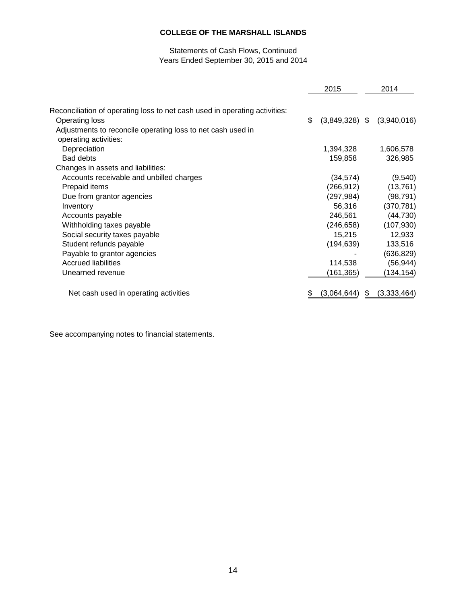### Statements of Cash Flows, Continued Years Ended September 30, 2015 and 2014

|                                                                                                     |    | 2015             |   | 2014        |
|-----------------------------------------------------------------------------------------------------|----|------------------|---|-------------|
| Reconciliation of operating loss to net cash used in operating activities:<br><b>Operating loss</b> | \$ | $(3,849,328)$ \$ |   | (3,940,016) |
| Adjustments to reconcile operating loss to net cash used in<br>operating activities:                |    |                  |   |             |
| Depreciation                                                                                        |    | 1,394,328        |   | 1,606,578   |
| <b>Bad debts</b>                                                                                    |    | 159,858          |   | 326,985     |
| Changes in assets and liabilities:                                                                  |    |                  |   |             |
| Accounts receivable and unbilled charges                                                            |    | (34, 574)        |   | (9,540)     |
| Prepaid items                                                                                       |    | (266,912)        |   | (13,761)    |
| Due from grantor agencies                                                                           |    | (297, 984)       |   | (98, 791)   |
| Inventory                                                                                           |    | 56,316           |   | (370, 781)  |
| Accounts payable                                                                                    |    | 246,561          |   | (44, 730)   |
| Withholding taxes payable                                                                           |    | (246, 658)       |   | (107, 930)  |
| Social security taxes payable                                                                       |    | 15,215           |   | 12,933      |
| Student refunds payable                                                                             |    | (194, 639)       |   | 133,516     |
| Payable to grantor agencies                                                                         |    |                  |   | (636, 829)  |
| <b>Accrued liabilities</b>                                                                          |    | 114,538          |   | (56, 944)   |
| Unearned revenue                                                                                    |    | (161,365)        |   | (134,154)   |
| Net cash used in operating activities                                                               | 2  | (3,064,644)      | S | (3,333,464) |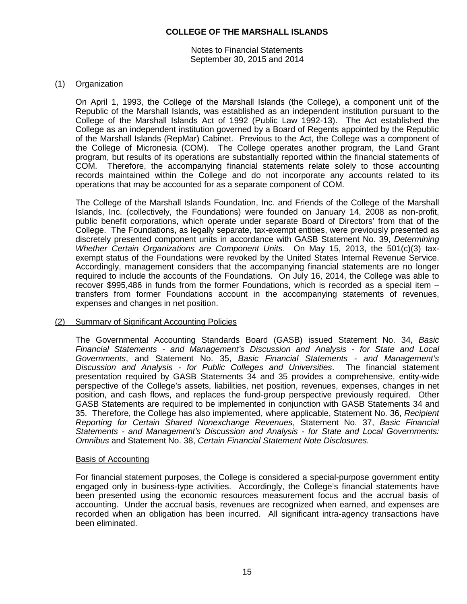Notes to Financial Statements September 30, 2015 and 2014

### (1) Organization

On April 1, 1993, the College of the Marshall Islands (the College), a component unit of the Republic of the Marshall Islands, was established as an independent institution pursuant to the College of the Marshall Islands Act of 1992 (Public Law 1992-13). The Act established the College as an independent institution governed by a Board of Regents appointed by the Republic of the Marshall Islands (RepMar) Cabinet. Previous to the Act, the College was a component of the College of Micronesia (COM). The College operates another program, the Land Grant program, but results of its operations are substantially reported within the financial statements of COM. Therefore, the accompanying financial statements relate solely to those accounting records maintained within the College and do not incorporate any accounts related to its operations that may be accounted for as a separate component of COM.

The College of the Marshall Islands Foundation, Inc. and Friends of the College of the Marshall Islands, Inc. (collectively, the Foundations) were founded on January 14, 2008 as non-profit, public benefit corporations, which operate under separate Board of Directors' from that of the College. The Foundations, as legally separate, tax-exempt entities, were previously presented as discretely presented component units in accordance with GASB Statement No. 39, *Determining Whether Certain Organizations are Component Units*. On May 15, 2013, the 501(c)(3) taxexempt status of the Foundations were revoked by the United States Internal Revenue Service. Accordingly, management considers that the accompanying financial statements are no longer required to include the accounts of the Foundations. On July 16, 2014, the College was able to recover \$995,486 in funds from the former Foundations, which is recorded as a special item – transfers from former Foundations account in the accompanying statements of revenues, expenses and changes in net position.

### (2) Summary of Significant Accounting Policies

The Governmental Accounting Standards Board (GASB) issued Statement No. 34, *Basic Financial Statements - and Management's Discussion and Analysis - for State and Local Governments*, and Statement No. 35, *Basic Financial Statements - and Management's Discussion and Analysis - for Public Colleges and Universities*. The financial statement presentation required by GASB Statements 34 and 35 provides a comprehensive, entity-wide perspective of the College's assets, liabilities, net position, revenues, expenses, changes in net position, and cash flows, and replaces the fund-group perspective previously required. Other GASB Statements are required to be implemented in conjunction with GASB Statements 34 and 35. Therefore, the College has also implemented, where applicable, Statement No. 36, *Recipient Reporting for Certain Shared Nonexchange Revenues*, Statement No. 37, *Basic Financial Statements - and Management's Discussion and Analysis - for State and Local Governments: Omnibus* and Statement No. 38, *Certain Financial Statement Note Disclosures.*

#### Basis of Accounting

For financial statement purposes, the College is considered a special-purpose government entity engaged only in business-type activities. Accordingly, the College's financial statements have been presented using the economic resources measurement focus and the accrual basis of accounting. Under the accrual basis, revenues are recognized when earned, and expenses are recorded when an obligation has been incurred. All significant intra-agency transactions have been eliminated.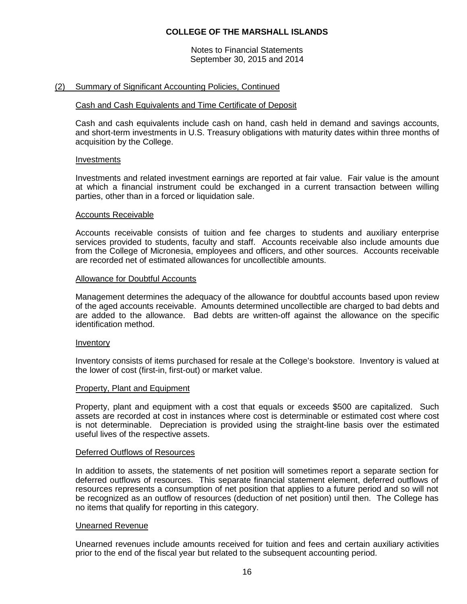Notes to Financial Statements September 30, 2015 and 2014

### (2) Summary of Significant Accounting Policies, Continued

#### Cash and Cash Equivalents and Time Certificate of Deposit

Cash and cash equivalents include cash on hand, cash held in demand and savings accounts, and short-term investments in U.S. Treasury obligations with maturity dates within three months of acquisition by the College.

#### **Investments**

Investments and related investment earnings are reported at fair value. Fair value is the amount at which a financial instrument could be exchanged in a current transaction between willing parties, other than in a forced or liquidation sale.

#### Accounts Receivable

Accounts receivable consists of tuition and fee charges to students and auxiliary enterprise services provided to students, faculty and staff. Accounts receivable also include amounts due from the College of Micronesia, employees and officers, and other sources. Accounts receivable are recorded net of estimated allowances for uncollectible amounts.

#### Allowance for Doubtful Accounts

Management determines the adequacy of the allowance for doubtful accounts based upon review of the aged accounts receivable. Amounts determined uncollectible are charged to bad debts and are added to the allowance. Bad debts are written-off against the allowance on the specific identification method.

#### Inventory

Inventory consists of items purchased for resale at the College's bookstore. Inventory is valued at the lower of cost (first-in, first-out) or market value.

#### Property, Plant and Equipment

Property, plant and equipment with a cost that equals or exceeds \$500 are capitalized. Such assets are recorded at cost in instances where cost is determinable or estimated cost where cost is not determinable. Depreciation is provided using the straight-line basis over the estimated useful lives of the respective assets.

#### Deferred Outflows of Resources

In addition to assets, the statements of net position will sometimes report a separate section for deferred outflows of resources. This separate financial statement element, deferred outflows of resources represents a consumption of net position that applies to a future period and so will not be recognized as an outflow of resources (deduction of net position) until then. The College has no items that qualify for reporting in this category.

#### Unearned Revenue

Unearned revenues include amounts received for tuition and fees and certain auxiliary activities prior to the end of the fiscal year but related to the subsequent accounting period.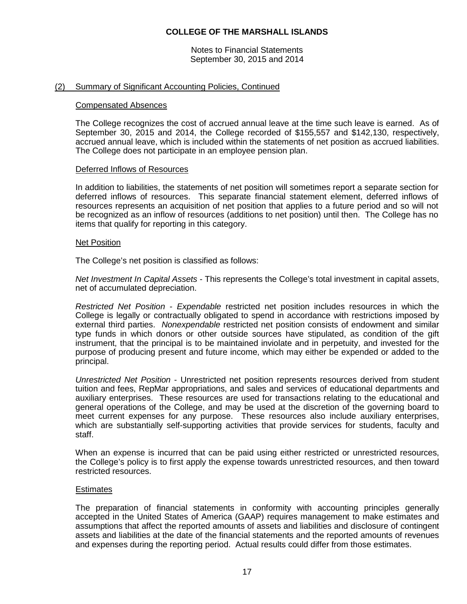Notes to Financial Statements September 30, 2015 and 2014

### (2) Summary of Significant Accounting Policies, Continued

#### Compensated Absences

The College recognizes the cost of accrued annual leave at the time such leave is earned. As of September 30, 2015 and 2014, the College recorded of \$155,557 and \$142,130, respectively, accrued annual leave, which is included within the statements of net position as accrued liabilities. The College does not participate in an employee pension plan.

#### Deferred Inflows of Resources

In addition to liabilities, the statements of net position will sometimes report a separate section for deferred inflows of resources. This separate financial statement element, deferred inflows of resources represents an acquisition of net position that applies to a future period and so will not be recognized as an inflow of resources (additions to net position) until then. The College has no items that qualify for reporting in this category.

#### Net Position

The College's net position is classified as follows:

*Net Investment In Capital Assets* - This represents the College's total investment in capital assets, net of accumulated depreciation.

*Restricted Net Position - Expendable* restricted net position includes resources in which the College is legally or contractually obligated to spend in accordance with restrictions imposed by external third parties. *Nonexpendable* restricted net position consists of endowment and similar type funds in which donors or other outside sources have stipulated, as condition of the gift instrument, that the principal is to be maintained inviolate and in perpetuity, and invested for the purpose of producing present and future income, which may either be expended or added to the principal.

*Unrestricted Net Position* - Unrestricted net position represents resources derived from student tuition and fees, RepMar appropriations, and sales and services of educational departments and auxiliary enterprises. These resources are used for transactions relating to the educational and general operations of the College, and may be used at the discretion of the governing board to meet current expenses for any purpose. These resources also include auxiliary enterprises, which are substantially self-supporting activities that provide services for students, faculty and staff.

When an expense is incurred that can be paid using either restricted or unrestricted resources, the College's policy is to first apply the expense towards unrestricted resources, and then toward restricted resources.

#### **Estimates**

The preparation of financial statements in conformity with accounting principles generally accepted in the United States of America (GAAP) requires management to make estimates and assumptions that affect the reported amounts of assets and liabilities and disclosure of contingent assets and liabilities at the date of the financial statements and the reported amounts of revenues and expenses during the reporting period. Actual results could differ from those estimates.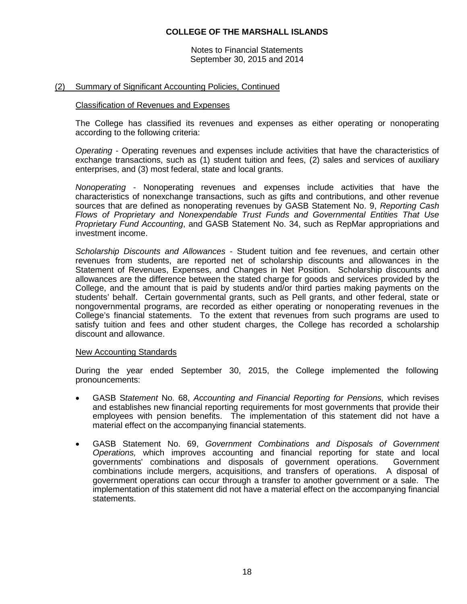Notes to Financial Statements September 30, 2015 and 2014

### (2) Summary of Significant Accounting Policies, Continued

#### Classification of Revenues and Expenses

The College has classified its revenues and expenses as either operating or nonoperating according to the following criteria:

*Operating* - Operating revenues and expenses include activities that have the characteristics of exchange transactions, such as (1) student tuition and fees, (2) sales and services of auxiliary enterprises, and (3) most federal, state and local grants.

*Nonoperating* - Nonoperating revenues and expenses include activities that have the characteristics of nonexchange transactions, such as gifts and contributions, and other revenue sources that are defined as nonoperating revenues by GASB Statement No. 9, *Reporting Cash Flows of Proprietary and Nonexpendable Trust Funds and Governmental Entities That Use Proprietary Fund Accounting*, and GASB Statement No. 34, such as RepMar appropriations and investment income.

*Scholarship Discounts and Allowances* - Student tuition and fee revenues, and certain other revenues from students, are reported net of scholarship discounts and allowances in the Statement of Revenues, Expenses, and Changes in Net Position. Scholarship discounts and allowances are the difference between the stated charge for goods and services provided by the College, and the amount that is paid by students and/or third parties making payments on the students' behalf. Certain governmental grants, such as Pell grants, and other federal, state or nongovernmental programs, are recorded as either operating or nonoperating revenues in the College's financial statements. To the extent that revenues from such programs are used to satisfy tuition and fees and other student charges, the College has recorded a scholarship discount and allowance.

#### New Accounting Standards

During the year ended September 30, 2015, the College implemented the following pronouncements:

- GASB S*tatement* No. 68, *Accounting and Financial Reporting for Pensions,* which revises and establishes new financial reporting requirements for most governments that provide their employees with pension benefits. The implementation of this statement did not have a material effect on the accompanying financial statements.
- GASB Statement No. 69, *Government Combinations and Disposals of Government Operations,* which improves accounting and financial reporting for state and local governments' combinations and disposals of government operations. Government combinations include mergers, acquisitions, and transfers of operations. A disposal of government operations can occur through a transfer to another government or a sale. The implementation of this statement did not have a material effect on the accompanying financial statements.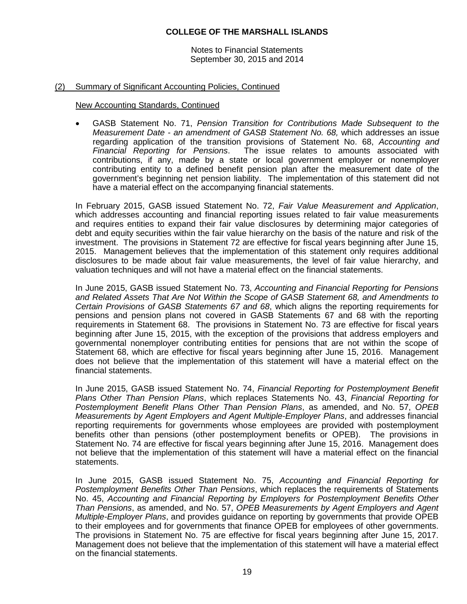Notes to Financial Statements September 30, 2015 and 2014

### (2) Summary of Significant Accounting Policies, Continued

#### New Accounting Standards, Continued

• GASB Statement No. 71, *Pension Transition for Contributions Made Subsequent to the Measurement Date - an amendment of GASB Statement No. 68,* which addresses an issue regarding application of the transition provisions of Statement No. 68, *Accounting and Financial Reporting for Pensions*. The issue relates to amounts associated with contributions, if any, made by a state or local government employer or nonemployer contributing entity to a defined benefit pension plan after the measurement date of the government's beginning net pension liability. The implementation of this statement did not have a material effect on the accompanying financial statements.

In February 2015, GASB issued Statement No. 72, *Fair Value Measurement and Application*, which addresses accounting and financial reporting issues related to fair value measurements and requires entities to expand their fair value disclosures by determining major categories of debt and equity securities within the fair value hierarchy on the basis of the nature and risk of the investment. The provisions in Statement 72 are effective for fiscal years beginning after June 15, 2015. Management believes that the implementation of this statement only requires additional disclosures to be made about fair value measurements, the level of fair value hierarchy, and valuation techniques and will not have a material effect on the financial statements.

In June 2015, GASB issued Statement No. 73, *Accounting and Financial Reporting for Pensions and Related Assets That Are Not Within the Scope of GASB Statement 68, and Amendments to Certain Provisions of GASB Statements 67 and 68*, which aligns the reporting requirements for pensions and pension plans not covered in GASB Statements 67 and 68 with the reporting requirements in Statement 68. The provisions in Statement No. 73 are effective for fiscal years beginning after June 15, 2015, with the exception of the provisions that address employers and governmental nonemployer contributing entities for pensions that are not within the scope of Statement 68, which are effective for fiscal years beginning after June 15, 2016. Management does not believe that the implementation of this statement will have a material effect on the financial statements.

In June 2015, GASB issued Statement No. 74, *Financial Reporting for Postemployment Benefit Plans Other Than Pension Plans*, which replaces Statements No. 43, *Financial Reporting for Postemployment Benefit Plans Other Than Pension Plans*, as amended, and No. 57, *OPEB Measurements by Agent Employers and Agent Multiple-Employer Plans*, and addresses financial reporting requirements for governments whose employees are provided with postemployment benefits other than pensions (other postemployment benefits or OPEB). The provisions in Statement No. 74 are effective for fiscal years beginning after June 15, 2016. Management does not believe that the implementation of this statement will have a material effect on the financial statements.

In June 2015, GASB issued Statement No. 75, *Accounting and Financial Reporting for Postemployment Benefits Other Than Pensions*, which replaces the requirements of Statements No. 45, *Accounting and Financial Reporting by Employers for Postemployment Benefits Other Than Pensions*, as amended, and No. 57, *OPEB Measurements by Agent Employers and Agent Multiple-Employer Plans*, and provides guidance on reporting by governments that provide OPEB to their employees and for governments that finance OPEB for employees of other governments. The provisions in Statement No. 75 are effective for fiscal years beginning after June 15, 2017. Management does not believe that the implementation of this statement will have a material effect on the financial statements.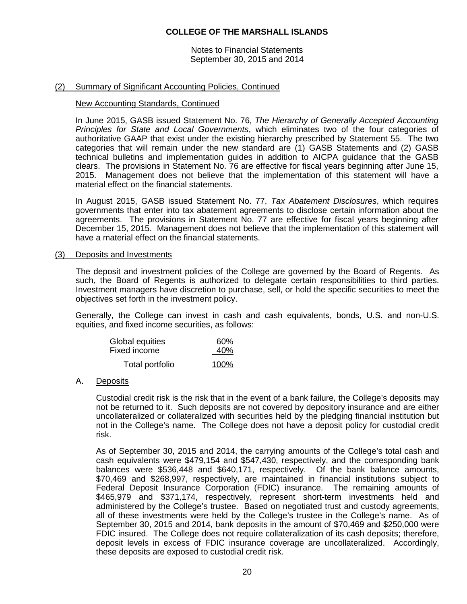Notes to Financial Statements September 30, 2015 and 2014

### (2) Summary of Significant Accounting Policies, Continued

#### New Accounting Standards, Continued

In June 2015, GASB issued Statement No. 76, *The Hierarchy of Generally Accepted Accounting Principles for State and Local Governments*, which eliminates two of the four categories of authoritative GAAP that exist under the existing hierarchy prescribed by Statement 55. The two categories that will remain under the new standard are (1) GASB Statements and (2) GASB technical bulletins and implementation guides in addition to AICPA guidance that the GASB clears. The provisions in Statement No. 76 are effective for fiscal years beginning after June 15, 2015. Management does not believe that the implementation of this statement will have a material effect on the financial statements.

In August 2015, GASB issued Statement No. 77, *Tax Abatement Disclosures*, which requires governments that enter into tax abatement agreements to disclose certain information about the agreements. The provisions in Statement No. 77 are effective for fiscal years beginning after December 15, 2015. Management does not believe that the implementation of this statement will have a material effect on the financial statements.

#### (3) Deposits and Investments

The deposit and investment policies of the College are governed by the Board of Regents. As such, the Board of Regents is authorized to delegate certain responsibilities to third parties. Investment managers have discretion to purchase, sell, or hold the specific securities to meet the objectives set forth in the investment policy.

Generally, the College can invest in cash and cash equivalents, bonds, U.S. and non-U.S. equities, and fixed income securities, as follows:

| Global equities | 60%  |
|-----------------|------|
| Fixed income    | 40%  |
| Total portfolio | 100% |

### A. Deposits

Custodial credit risk is the risk that in the event of a bank failure, the College's deposits may not be returned to it. Such deposits are not covered by depository insurance and are either uncollateralized or collateralized with securities held by the pledging financial institution but not in the College's name. The College does not have a deposit policy for custodial credit risk.

As of September 30, 2015 and 2014, the carrying amounts of the College's total cash and cash equivalents were \$479,154 and \$547,430, respectively, and the corresponding bank balances were \$536,448 and \$640,171, respectively. Of the bank balance amounts, \$70,469 and \$268,997, respectively, are maintained in financial institutions subject to Federal Deposit Insurance Corporation (FDIC) insurance. The remaining amounts of \$465,979 and \$371,174, respectively, represent short-term investments held and administered by the College's trustee. Based on negotiated trust and custody agreements, all of these investments were held by the College's trustee in the College's name. As of September 30, 2015 and 2014, bank deposits in the amount of \$70,469 and \$250,000 were FDIC insured. The College does not require collateralization of its cash deposits; therefore, deposit levels in excess of FDIC insurance coverage are uncollateralized. Accordingly, these deposits are exposed to custodial credit risk.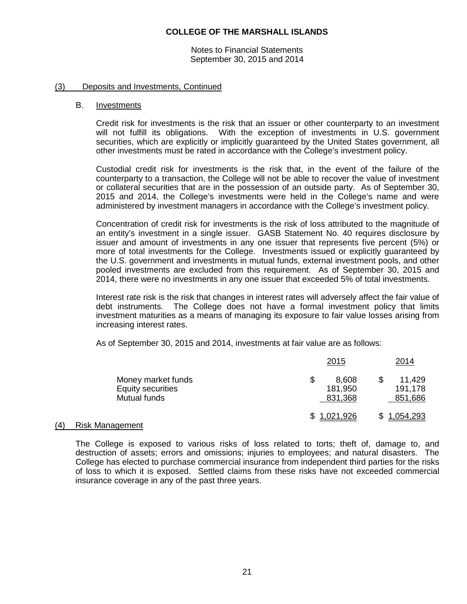Notes to Financial Statements September 30, 2015 and 2014

### (3) Deposits and Investments, Continued

#### B. Investments

Credit risk for investments is the risk that an issuer or other counterparty to an investment will not fulfill its obligations. With the exception of investments in U.S. government securities, which are explicitly or implicitly guaranteed by the United States government, all other investments must be rated in accordance with the College's investment policy.

Custodial credit risk for investments is the risk that, in the event of the failure of the counterparty to a transaction, the College will not be able to recover the value of investment or collateral securities that are in the possession of an outside party. As of September 30, 2015 and 2014, the College's investments were held in the College's name and were administered by investment managers in accordance with the College's investment policy.

Concentration of credit risk for investments is the risk of loss attributed to the magnitude of an entity's investment in a single issuer. GASB Statement No. 40 requires disclosure by issuer and amount of investments in any one issuer that represents five percent (5%) or more of total investments for the College. Investments issued or explicitly guaranteed by the U.S. government and investments in mutual funds, external investment pools, and other pooled investments are excluded from this requirement. As of September 30, 2015 and 2014, there were no investments in any one issuer that exceeded 5% of total investments.

Interest rate risk is the risk that changes in interest rates will adversely affect the fair value of debt instruments. The College does not have a formal investment policy that limits investment maturities as a means of managing its exposure to fair value losses arising from increasing interest rates.

As of September 30, 2015 and 2014, investments at fair value are as follows:

|                                                                | 2015                              | 2014                         |
|----------------------------------------------------------------|-----------------------------------|------------------------------|
| Money market funds<br><b>Equity securities</b><br>Mutual funds | \$<br>8,608<br>181,950<br>831,368 | 11,429<br>191,178<br>851,686 |
|                                                                | \$1.021.926                       | \$1,054,293                  |

### (4) Risk Management

The College is exposed to various risks of loss related to torts; theft of, damage to, and destruction of assets; errors and omissions; injuries to employees; and natural disasters. The College has elected to purchase commercial insurance from independent third parties for the risks of loss to which it is exposed. Settled claims from these risks have not exceeded commercial insurance coverage in any of the past three years.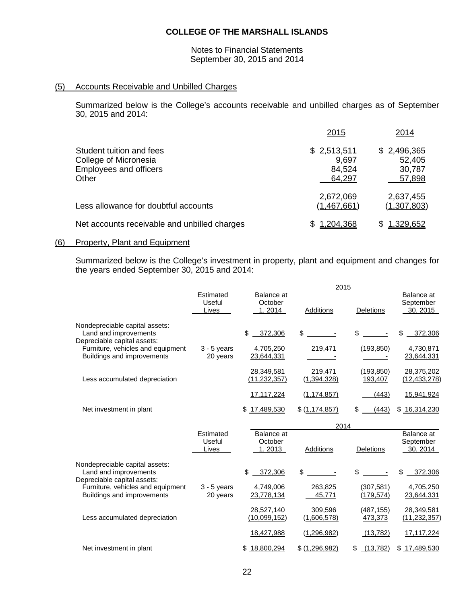Notes to Financial Statements September 30, 2015 and 2014

### (5) Accounts Receivable and Unbilled Charges

Summarized below is the College's accounts receivable and unbilled charges as of September 30, 2015 and 2014:

|                                                                                      | 2015                                     | 2014                                      |
|--------------------------------------------------------------------------------------|------------------------------------------|-------------------------------------------|
| Student tuition and fees<br>College of Micronesia<br>Employees and officers<br>Other | \$2,513,511<br>9,697<br>84,524<br>64,297 | \$2,496,365<br>52,405<br>30,787<br>57,898 |
| Less allowance for doubtful accounts                                                 | 2,672,069<br>(1,467,661)                 | 2,637,455<br>(1, 307, 803)                |
| Net accounts receivable and unbilled charges                                         | \$1,204,368                              | \$1,329,652                               |

# (6) Property, Plant and Equipment

Summarized below is the College's investment in property, plant and equipment and changes for the years ended September 30, 2015 and 2014:

|                                                                                        |                              | 2015                             |                          |                          |                                     |
|----------------------------------------------------------------------------------------|------------------------------|----------------------------------|--------------------------|--------------------------|-------------------------------------|
|                                                                                        | Estimated<br>Useful<br>Lives | Balance at<br>October<br>1, 2014 | Additions                | <b>Deletions</b>         | Balance at<br>September<br>30, 2015 |
| Nondepreciable capital assets:<br>Land and improvements<br>Depreciable capital assets: |                              | \$<br>372,306                    | \$                       | \$                       | \$<br>372,306                       |
| Furniture, vehicles and equipment<br>Buildings and improvements                        | $3 - 5$ years<br>20 years    | 4,705,250<br>23,644,331          | 219,471                  | (193, 850)               | 4,730,871<br>23,644,331             |
| Less accumulated depreciation                                                          |                              | 28,349,581<br>(11, 232, 357)     | 219,471<br>(1, 394, 328) | (193, 850)<br>193,407    | 28,375,202<br>(12, 433, 278)        |
|                                                                                        |                              | 17, 117, 224                     | (1, 174, 857)            | (443)                    | 15,941,924                          |
| Net investment in plant                                                                |                              | \$17,489,530                     | \$(1, 174, 857)          | \$<br>(443)              | \$ 16,314,230                       |
|                                                                                        |                              |                                  | 2014                     |                          |                                     |
|                                                                                        | Estimated<br>Useful<br>Lives | Balance at<br>October<br>1, 2013 | Additions                | <b>Deletions</b>         | Balance at<br>September<br>30, 2014 |
| Nondepreciable capital assets:<br>Land and improvements<br>Depreciable capital assets: |                              | \$.<br>372,306                   | \$                       | \$                       | \$.<br>372,306                      |
| Furniture, vehicles and equipment<br>Buildings and improvements                        | $3 - 5$ years<br>20 years    | 4,749,006<br>23,778,134          | 263,825<br>45,771        | (307, 581)<br>(179, 574) | 4,705,250<br>23,644,331             |
| Less accumulated depreciation                                                          |                              | 28,527,140<br>(10,099,152)       | 309,596<br>(1,606,578)   | (487, 155)<br>473,373    | 28,349,581<br>(11, 232, 357)        |
|                                                                                        |                              |                                  |                          |                          |                                     |
|                                                                                        |                              | 18,427,988                       | (1,296,982)              | (13, 782)                | 17, 117, 224                        |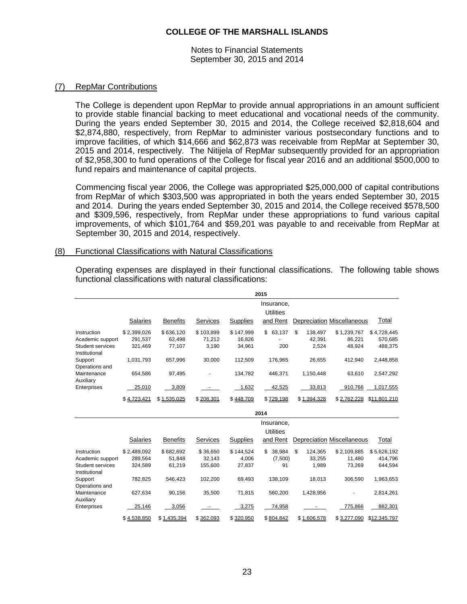Notes to Financial Statements September 30, 2015 and 2014

#### (7) RepMar Contributions

The College is dependent upon RepMar to provide annual appropriations in an amount sufficient to provide stable financial backing to meet educational and vocational needs of the community. During the years ended September 30, 2015 and 2014, the College received \$2,818,604 and \$2,874,880, respectively, from RepMar to administer various postsecondary functions and to improve facilities, of which \$14,666 and \$62,873 was receivable from RepMar at September 30, 2015 and 2014, respectively. The Nitijela of RepMar subsequently provided for an appropriation of \$2,958,300 to fund operations of the College for fiscal year 2016 and an additional \$500,000 to fund repairs and maintenance of capital projects.

Commencing fiscal year 2006, the College was appropriated \$25,000,000 of capital contributions from RepMar of which \$303,500 was appropriated in both the years ended September 30, 2015 and 2014. During the years ended September 30, 2015 and 2014, the College received \$578,500 and \$309,596, respectively, from RepMar under these appropriations to fund various capital improvements, of which \$101,764 and \$59,201 was payable to and receivable from RepMar at September 30, 2015 and 2014, respectively.

#### (8) Functional Classifications with Natural Classifications

|                                   |                 |                         |           |           | 2015          |              |                                   |              |
|-----------------------------------|-----------------|-------------------------|-----------|-----------|---------------|--------------|-----------------------------------|--------------|
|                                   |                 | Insurance,<br>Utilities |           |           |               |              |                                   |              |
|                                   | <b>Salaries</b> | <b>Benefits</b>         | Services  | Supplies  | and Rent      |              | <b>Depreciation Miscellaneous</b> | Total        |
| Instruction                       | \$2,399,026     | \$636,120               | \$103,899 | \$147,999 | 63,137<br>\$. | 138.497<br>S | \$1,239,767                       | \$4,728,445  |
| Academic support                  | 291.537         | 62,498                  | 71.212    | 16,826    |               | 42.391       | 86.221                            | 570,685      |
| Student services<br>Institutional | 321.469         | 77.107                  | 3,190     | 34,961    | 200           | 2,524        | 48.924                            | 488,375      |
| Support<br>Operations and         | 1,031,793       | 657.996                 | 30.000    | 112.509   | 176.965       | 26,655       | 412.940                           | 2,448,858    |
| Maintenance<br>Auxiliary          | 654.586         | 97.495                  |           | 134.782   | 446.371       | 1.150.448    | 63.610                            | 2,547,292    |
| Enterprises                       | 25,010          | 3,809                   |           | 1,632     | 42,525        | 33,813       | 910,766                           | 1,017,555    |
|                                   | \$4.723.421     | \$1.535.025             | \$208.301 | \$448.709 | \$729.198     | \$1.394.328  | \$2.762.228                       | \$11.801.210 |

Operating expenses are displayed in their functional classifications. The following table shows functional classifications with natural classifications:

|                                   |                 |                 |           |           | Insurance.<br>Utilities |              |                                   |              |
|-----------------------------------|-----------------|-----------------|-----------|-----------|-------------------------|--------------|-----------------------------------|--------------|
|                                   | <b>Salaries</b> | <b>Benefits</b> | Services  | Supplies  | and Rent                |              | <b>Depreciation Miscellaneous</b> | Total        |
| Instruction                       | \$2,489,092     | \$682,692       | \$36,650  | \$144,524 | \$<br>38,984            | S<br>124.365 | \$2.109.885                       | \$5,626,192  |
| Academic support                  | 289.564         | 51.848          | 32.143    | 4.006     | (7,500)                 | 33.255       | 11.480                            | 414,796      |
| Student services<br>Institutional | 324.589         | 61,219          | 155.600   | 27,837    | 91                      | 1.989        | 73.269                            | 644,594      |
| Support<br>Operations and         | 782.825         | 546.423         | 102,200   | 69.493    | 138.109                 | 18.013       | 306.590                           | 1,963,653    |
| Maintenance<br>Auxiliary          | 627.634         | 90.156          | 35,500    | 71.815    | 560.200                 | 1,428,956    | ٠                                 | 2,814,261    |
| Enterprises                       | 25,146          | 3,056           |           | 3,275     | 74,958                  |              | 775,866                           | 882,301      |
|                                   | \$4.538.850     | \$1.435.394     | \$362.093 | \$320.950 | \$804.842               | \$1.606.578  | \$3.277.090                       | \$12.345.797 |

**2014**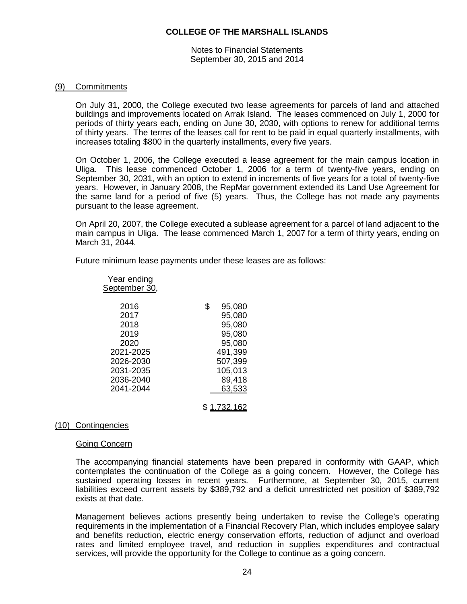Notes to Financial Statements September 30, 2015 and 2014

#### (9) Commitments

On July 31, 2000, the College executed two lease agreements for parcels of land and attached buildings and improvements located on Arrak Island. The leases commenced on July 1, 2000 for periods of thirty years each, ending on June 30, 2030, with options to renew for additional terms of thirty years. The terms of the leases call for rent to be paid in equal quarterly installments, with increases totaling \$800 in the quarterly installments, every five years.

On October 1, 2006, the College executed a lease agreement for the main campus location in Uliga. This lease commenced October 1, 2006 for a term of twenty-five years, ending on September 30, 2031, with an option to extend in increments of five years for a total of twenty-five years. However, in January 2008, the RepMar government extended its Land Use Agreement for the same land for a period of five (5) years. Thus, the College has not made any payments pursuant to the lease agreement.

On April 20, 2007, the College executed a sublease agreement for a parcel of land adjacent to the main campus in Uliga. The lease commenced March 1, 2007 for a term of thirty years, ending on March 31, 2044.

Future minimum lease payments under these leases are as follows:

| Year ending<br>September 30,                                                                          |                                                                                                           |
|-------------------------------------------------------------------------------------------------------|-----------------------------------------------------------------------------------------------------------|
| 2016<br>2017<br>2018<br>2019<br>2020<br>2021-2025<br>2026-2030<br>2031-2035<br>2036-2040<br>2041-2044 | \$<br>95,080<br>95,080<br>95,080<br>95,080<br>95,080<br>491,399<br>507,399<br>105,013<br>89,418<br>63,533 |
|                                                                                                       |                                                                                                           |

#### (10) Contingencies

#### Going Concern

The accompanying financial statements have been prepared in conformity with GAAP, which contemplates the continuation of the College as a going concern. However, the College has sustained operating losses in recent years. Furthermore, at September 30, 2015, current liabilities exceed current assets by \$389,792 and a deficit unrestricted net position of \$389,792 exists at that date.

Management believes actions presently being undertaken to revise the College's operating requirements in the implementation of a Financial Recovery Plan, which includes employee salary and benefits reduction, electric energy conservation efforts, reduction of adjunct and overload rates and limited employee travel, and reduction in supplies expenditures and contractual services, will provide the opportunity for the College to continue as a going concern.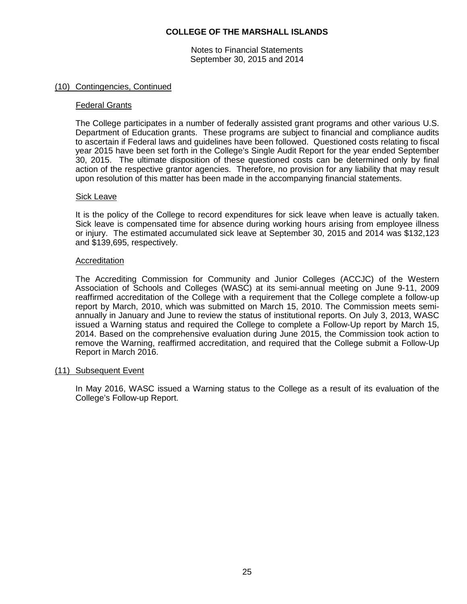Notes to Financial Statements September 30, 2015 and 2014

### (10) Contingencies, Continued

#### Federal Grants

The College participates in a number of federally assisted grant programs and other various U.S. Department of Education grants. These programs are subject to financial and compliance audits to ascertain if Federal laws and guidelines have been followed. Questioned costs relating to fiscal year 2015 have been set forth in the College's Single Audit Report for the year ended September 30, 2015. The ultimate disposition of these questioned costs can be determined only by final action of the respective grantor agencies. Therefore, no provision for any liability that may result upon resolution of this matter has been made in the accompanying financial statements.

#### Sick Leave

It is the policy of the College to record expenditures for sick leave when leave is actually taken. Sick leave is compensated time for absence during working hours arising from employee illness or injury. The estimated accumulated sick leave at September 30, 2015 and 2014 was \$132,123 and \$139,695, respectively.

### Accreditation

The Accrediting Commission for Community and Junior Colleges (ACCJC) of the Western Association of Schools and Colleges (WASC) at its semi-annual meeting on June 9-11, 2009 reaffirmed accreditation of the College with a requirement that the College complete a follow-up report by March, 2010, which was submitted on March 15, 2010. The Commission meets semiannually in January and June to review the status of institutional reports. On July 3, 2013, WASC issued a Warning status and required the College to complete a Follow-Up report by March 15, 2014. Based on the comprehensive evaluation during June 2015, the Commission took action to remove the Warning, reaffirmed accreditation, and required that the College submit a Follow-Up Report in March 2016.

### (11) Subsequent Event

In May 2016, WASC issued a Warning status to the College as a result of its evaluation of the College's Follow-up Report.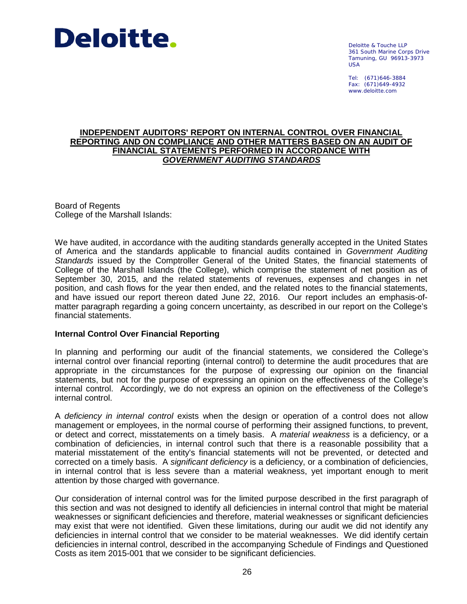

Deloitte & Touche LLP 361 South Marine Corps Drive Tamuning, GU 96913-3973 USA

Tel: (671)646-3884 Fax: (671)649-4932 www.deloitte.com

### **INDEPENDENT AUDITORS' REPORT ON INTERNAL CONTROL OVER FINANCIAL REPORTING AND ON COMPLIANCE AND OTHER MATTERS BASED ON AN AUDIT OF FINANCIAL STATEMENTS PERFORMED IN ACCORDANCE WITH**  *GOVERNMENT AUDITING STANDARDS*

Board of Regents College of the Marshall Islands:

We have audited, in accordance with the auditing standards generally accepted in the United States of America and the standards applicable to financial audits contained in *Government Auditing Standards* issued by the Comptroller General of the United States, the financial statements of College of the Marshall Islands (the College), which comprise the statement of net position as of September 30, 2015, and the related statements of revenues, expenses and changes in net position, and cash flows for the year then ended, and the related notes to the financial statements, and have issued our report thereon dated June 22, 2016. Our report includes an emphasis-ofmatter paragraph regarding a going concern uncertainty, as described in our report on the College's financial statements.

### **Internal Control Over Financial Reporting**

In planning and performing our audit of the financial statements, we considered the College's internal control over financial reporting (internal control) to determine the audit procedures that are appropriate in the circumstances for the purpose of expressing our opinion on the financial statements, but not for the purpose of expressing an opinion on the effectiveness of the College's internal control. Accordingly, we do not express an opinion on the effectiveness of the College's internal control.

A *deficiency in internal control* exists when the design or operation of a control does not allow management or employees, in the normal course of performing their assigned functions, to prevent, or detect and correct, misstatements on a timely basis. A *material weakness* is a deficiency, or a combination of deficiencies, in internal control such that there is a reasonable possibility that a material misstatement of the entity's financial statements will not be prevented, or detected and corrected on a timely basis. A *significant deficiency* is a deficiency, or a combination of deficiencies, in internal control that is less severe than a material weakness, yet important enough to merit attention by those charged with governance.

Our consideration of internal control was for the limited purpose described in the first paragraph of this section and was not designed to identify all deficiencies in internal control that might be material weaknesses or significant deficiencies and therefore, material weaknesses or significant deficiencies may exist that were not identified. Given these limitations, during our audit we did not identify any deficiencies in internal control that we consider to be material weaknesses. We did identify certain deficiencies in internal control, described in the accompanying Schedule of Findings and Questioned Costs as item 2015-001 that we consider to be significant deficiencies.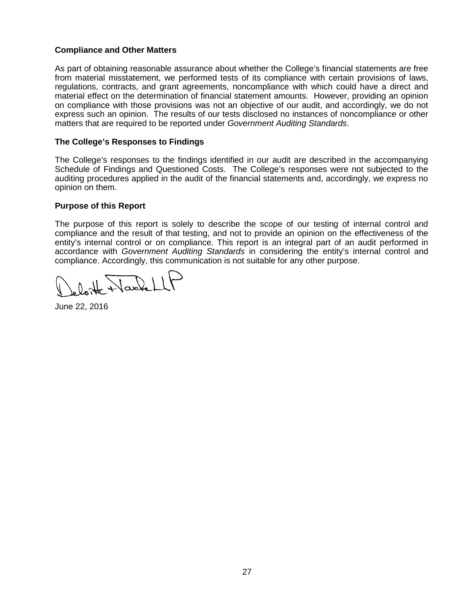# **Compliance and Other Matters**

As part of obtaining reasonable assurance about whether the College's financial statements are free from material misstatement, we performed tests of its compliance with certain provisions of laws, regulations, contracts, and grant agreements, noncompliance with which could have a direct and material effect on the determination of financial statement amounts. However, providing an opinion on compliance with those provisions was not an objective of our audit, and accordingly, we do not express such an opinion. The results of our tests disclosed no instances of noncompliance or other matters that are required to be reported under *Government Auditing Standards*.

## **The College's Responses to Findings**

The College's responses to the findings identified in our audit are described in the accompanying Schedule of Findings and Questioned Costs. The College's responses were not subjected to the auditing procedures applied in the audit of the financial statements and, accordingly, we express no opinion on them.

### **Purpose of this Report**

The purpose of this report is solely to describe the scope of our testing of internal control and compliance and the result of that testing, and not to provide an opinion on the effectiveness of the entity's internal control or on compliance. This report is an integral part of an audit performed in accordance with *Government Auditing Standards* in considering the entity's internal control and compliance. Accordingly, this communication is not suitable for any other purpose.

H Nache

June 22, 2016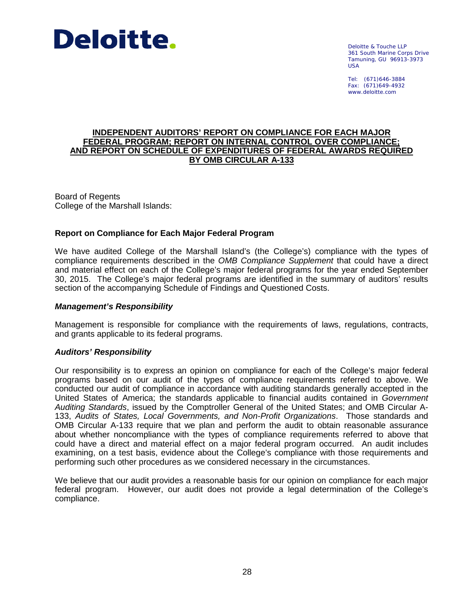

Deloitte & Touche LLP 361 South Marine Corps Drive Tamuning, GU 96913-3973 USA

Tel: (671)646-3884 Fax: (671)649-4932 www.deloitte.com

### **INDEPENDENT AUDITORS' REPORT ON COMPLIANCE FOR EACH MAJOR FEDERAL PROGRAM; REPORT ON INTERNAL CONTROL OVER COMPLIANCE; AND REPORT ON SCHEDULE OF EXPENDITURES OF FEDERAL AWARDS REQUIRED BY OMB CIRCULAR A-133**

Board of Regents College of the Marshall Islands:

# **Report on Compliance for Each Major Federal Program**

We have audited College of the Marshall Island's (the College's) compliance with the types of compliance requirements described in the *OMB Compliance Supplement* that could have a direct and material effect on each of the College's major federal programs for the year ended September 30, 2015. The College's major federal programs are identified in the summary of auditors' results section of the accompanying Schedule of Findings and Questioned Costs.

### *Management's Responsibility*

Management is responsible for compliance with the requirements of laws, regulations, contracts, and grants applicable to its federal programs.

### *Auditors' Responsibility*

Our responsibility is to express an opinion on compliance for each of the College's major federal programs based on our audit of the types of compliance requirements referred to above. We conducted our audit of compliance in accordance with auditing standards generally accepted in the United States of America; the standards applicable to financial audits contained in *Government Auditing Standards*, issued by the Comptroller General of the United States; and OMB Circular A-133, *Audits of States, Local Governments, and Non-Profit Organizations*. Those standards and OMB Circular A-133 require that we plan and perform the audit to obtain reasonable assurance about whether noncompliance with the types of compliance requirements referred to above that could have a direct and material effect on a major federal program occurred. An audit includes examining, on a test basis, evidence about the College's compliance with those requirements and performing such other procedures as we considered necessary in the circumstances.

We believe that our audit provides a reasonable basis for our opinion on compliance for each major federal program. However, our audit does not provide a legal determination of the College's compliance.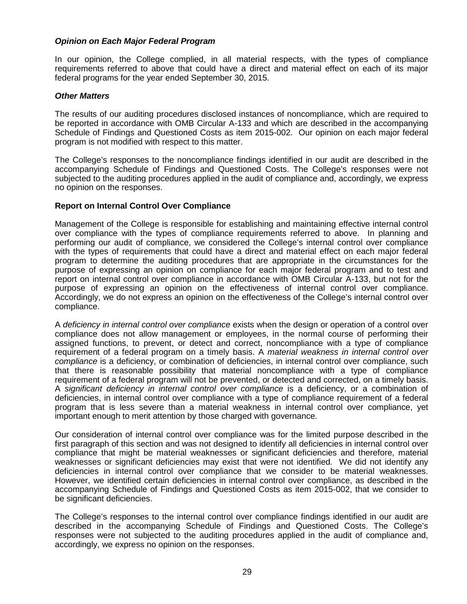# *Opinion on Each Major Federal Program*

In our opinion, the College complied, in all material respects, with the types of compliance requirements referred to above that could have a direct and material effect on each of its major federal programs for the year ended September 30, 2015.

# *Other Matters*

The results of our auditing procedures disclosed instances of noncompliance, which are required to be reported in accordance with OMB Circular A-133 and which are described in the accompanying Schedule of Findings and Questioned Costs as item 2015-002. Our opinion on each major federal program is not modified with respect to this matter.

The College's responses to the noncompliance findings identified in our audit are described in the accompanying Schedule of Findings and Questioned Costs. The College's responses were not subjected to the auditing procedures applied in the audit of compliance and, accordingly, we express no opinion on the responses.

### **Report on Internal Control Over Compliance**

Management of the College is responsible for establishing and maintaining effective internal control over compliance with the types of compliance requirements referred to above. In planning and performing our audit of compliance, we considered the College's internal control over compliance with the types of requirements that could have a direct and material effect on each major federal program to determine the auditing procedures that are appropriate in the circumstances for the purpose of expressing an opinion on compliance for each major federal program and to test and report on internal control over compliance in accordance with OMB Circular A-133, but not for the purpose of expressing an opinion on the effectiveness of internal control over compliance. Accordingly, we do not express an opinion on the effectiveness of the College's internal control over compliance.

A *deficiency in internal control over compliance* exists when the design or operation of a control over compliance does not allow management or employees, in the normal course of performing their assigned functions, to prevent, or detect and correct, noncompliance with a type of compliance requirement of a federal program on a timely basis. A *material weakness in internal control over compliance* is a deficiency, or combination of deficiencies, in internal control over compliance, such that there is reasonable possibility that material noncompliance with a type of compliance requirement of a federal program will not be prevented, or detected and corrected, on a timely basis. A *significant deficiency in internal control over compliance* is a deficiency, or a combination of deficiencies, in internal control over compliance with a type of compliance requirement of a federal program that is less severe than a material weakness in internal control over compliance, yet important enough to merit attention by those charged with governance.

Our consideration of internal control over compliance was for the limited purpose described in the first paragraph of this section and was not designed to identify all deficiencies in internal control over compliance that might be material weaknesses or significant deficiencies and therefore, material weaknesses or significant deficiencies may exist that were not identified. We did not identify any deficiencies in internal control over compliance that we consider to be material weaknesses. However, we identified certain deficiencies in internal control over compliance, as described in the accompanying Schedule of Findings and Questioned Costs as item 2015-002, that we consider to be significant deficiencies.

The College's responses to the internal control over compliance findings identified in our audit are described in the accompanying Schedule of Findings and Questioned Costs. The College's responses were not subjected to the auditing procedures applied in the audit of compliance and, accordingly, we express no opinion on the responses.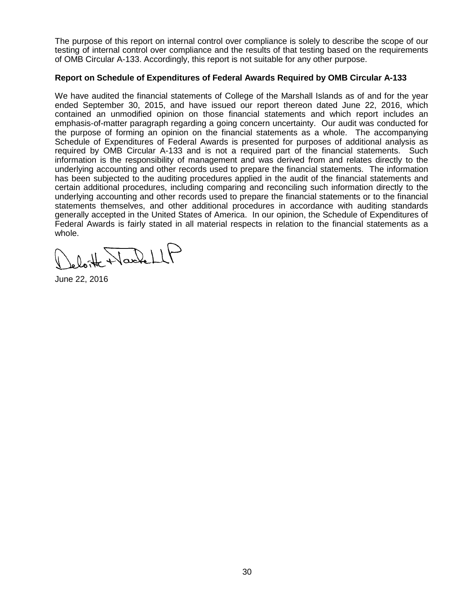The purpose of this report on internal control over compliance is solely to describe the scope of our testing of internal control over compliance and the results of that testing based on the requirements of OMB Circular A-133. Accordingly, this report is not suitable for any other purpose.

## **Report on Schedule of Expenditures of Federal Awards Required by OMB Circular A-133**

We have audited the financial statements of College of the Marshall Islands as of and for the year ended September 30, 2015, and have issued our report thereon dated June 22, 2016, which contained an unmodified opinion on those financial statements and which report includes an emphasis-of-matter paragraph regarding a going concern uncertainty. Our audit was conducted for the purpose of forming an opinion on the financial statements as a whole. The accompanying Schedule of Expenditures of Federal Awards is presented for purposes of additional analysis as required by OMB Circular A-133 and is not a required part of the financial statements. Such information is the responsibility of management and was derived from and relates directly to the underlying accounting and other records used to prepare the financial statements. The information has been subjected to the auditing procedures applied in the audit of the financial statements and certain additional procedures, including comparing and reconciling such information directly to the underlying accounting and other records used to prepare the financial statements or to the financial statements themselves, and other additional procedures in accordance with auditing standards generally accepted in the United States of America. In our opinion, the Schedule of Expenditures of Federal Awards is fairly stated in all material respects in relation to the financial statements as a whole.

Varkell

June 22, 2016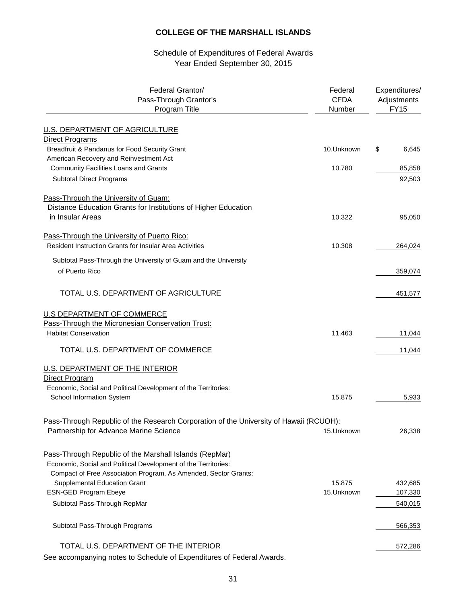# Schedule of Expenditures of Federal Awards Year Ended September 30, 2015

| Federal Grantor/<br>Pass-Through Grantor's<br>Program Title                             | Federal<br><b>CFDA</b><br>Number | Expenditures/<br>Adjustments<br><b>FY15</b> |
|-----------------------------------------------------------------------------------------|----------------------------------|---------------------------------------------|
| U.S. DEPARTMENT OF AGRICULTURE<br><b>Direct Programs</b>                                |                                  |                                             |
| Breadfruit & Pandanus for Food Security Grant<br>American Recovery and Reinvestment Act | 10.Unknown                       | \$<br>6,645                                 |
| <b>Community Facilities Loans and Grants</b>                                            | 10.780                           | 85,858                                      |
| <b>Subtotal Direct Programs</b>                                                         |                                  | 92,503                                      |
| Pass-Through the University of Guam:                                                    |                                  |                                             |
| Distance Education Grants for Institutions of Higher Education                          |                                  |                                             |
| in Insular Areas                                                                        | 10.322                           | 95,050                                      |
| Pass-Through the University of Puerto Rico:                                             |                                  |                                             |
| <b>Resident Instruction Grants for Insular Area Activities</b>                          | 10.308                           | 264,024                                     |
| Subtotal Pass-Through the University of Guam and the University                         |                                  |                                             |
| of Puerto Rico                                                                          |                                  | 359,074                                     |
| TOTAL U.S. DEPARTMENT OF AGRICULTURE                                                    |                                  | 451,577                                     |
| <b>U.S DEPARTMENT OF COMMERCE</b>                                                       |                                  |                                             |
| Pass-Through the Micronesian Conservation Trust:                                        |                                  |                                             |
| <b>Habitat Conservation</b>                                                             | 11.463                           | 11,044                                      |
| TOTAL U.S. DEPARTMENT OF COMMERCE                                                       |                                  | 11,044                                      |
| U.S. DEPARTMENT OF THE INTERIOR                                                         |                                  |                                             |
| Direct Program                                                                          |                                  |                                             |
| Economic, Social and Political Development of the Territories:                          |                                  |                                             |
| School Information System                                                               | 15.875                           | 5,933                                       |
| Pass-Through Republic of the Research Corporation of the University of Hawaii (RCUOH):  |                                  |                                             |
| Partnership for Advance Marine Science                                                  | 15.Unknown                       | 26,338                                      |
| Pass-Through Republic of the Marshall Islands (RepMar)                                  |                                  |                                             |
| Economic, Social and Political Development of the Territories:                          |                                  |                                             |
| Compact of Free Association Program, As Amended, Sector Grants:                         |                                  |                                             |
| <b>Supplemental Education Grant</b>                                                     | 15.875                           | 432,685                                     |
| <b>ESN-GED Program Ebeye</b>                                                            | 15.Unknown                       | 107,330                                     |
| Subtotal Pass-Through RepMar                                                            |                                  | 540,015                                     |
| Subtotal Pass-Through Programs                                                          |                                  | 566,353                                     |
| TOTAL U.S. DEPARTMENT OF THE INTERIOR                                                   |                                  | 572,286                                     |
| See accompanying notes to Schedule of Expenditures of Federal Awards.                   |                                  |                                             |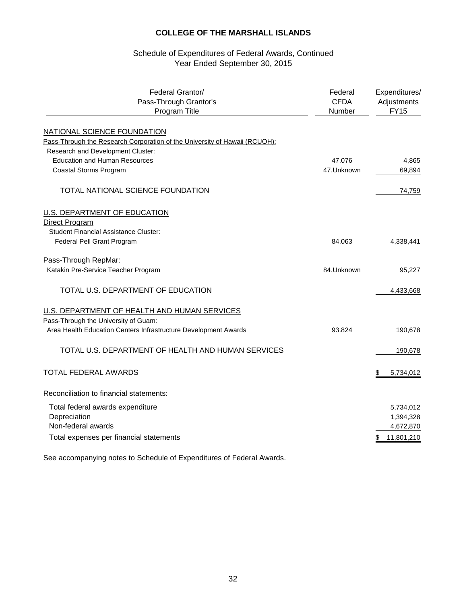# Schedule of Expenditures of Federal Awards, Continued Year Ended September 30, 2015

| Federal Grantor/<br>Pass-Through Grantor's<br>Program Title                | Federal<br><b>CFDA</b><br>Number | Expenditures/<br>Adjustments<br><b>FY15</b> |
|----------------------------------------------------------------------------|----------------------------------|---------------------------------------------|
| NATIONAL SCIENCE FOUNDATION                                                |                                  |                                             |
| Pass-Through the Research Corporation of the University of Hawaii (RCUOH): |                                  |                                             |
| Research and Development Cluster:                                          |                                  |                                             |
| <b>Education and Human Resources</b>                                       | 47.076                           | 4,865                                       |
| Coastal Storms Program                                                     | 47.Unknown                       | 69,894                                      |
| TOTAL NATIONAL SCIENCE FOUNDATION                                          |                                  | 74,759                                      |
| U.S. DEPARTMENT OF EDUCATION                                               |                                  |                                             |
| Direct Program                                                             |                                  |                                             |
| Student Financial Assistance Cluster:                                      |                                  |                                             |
| Federal Pell Grant Program                                                 | 84.063                           | 4,338,441                                   |
| Pass-Through RepMar:                                                       |                                  |                                             |
| Katakin Pre-Service Teacher Program                                        | 84.Unknown                       | 95,227                                      |
| TOTAL U.S. DEPARTMENT OF EDUCATION                                         |                                  | 4,433,668                                   |
| U.S. DEPARTMENT OF HEALTH AND HUMAN SERVICES                               |                                  |                                             |
| Pass-Through the University of Guam:                                       |                                  |                                             |
| Area Health Education Centers Infrastructure Development Awards            | 93.824                           | 190,678                                     |
| TOTAL U.S. DEPARTMENT OF HEALTH AND HUMAN SERVICES                         |                                  | 190,678                                     |
| <b>TOTAL FEDERAL AWARDS</b>                                                |                                  | \$<br>5,734,012                             |
| Reconciliation to financial statements:                                    |                                  |                                             |
| Total federal awards expenditure                                           |                                  | 5,734,012                                   |
| Depreciation                                                               |                                  | 1,394,328                                   |
| Non-federal awards                                                         |                                  | 4,672,870                                   |
| Total expenses per financial statements                                    |                                  | 11,801,210                                  |
|                                                                            |                                  |                                             |

See accompanying notes to Schedule of Expenditures of Federal Awards.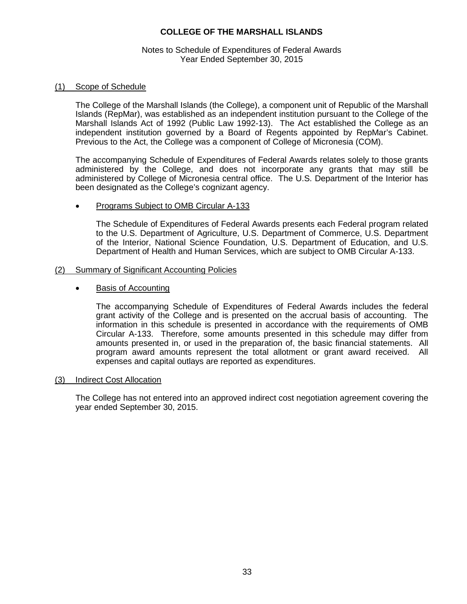### Notes to Schedule of Expenditures of Federal Awards Year Ended September 30, 2015

### (1) Scope of Schedule

The College of the Marshall Islands (the College), a component unit of Republic of the Marshall Islands (RepMar), was established as an independent institution pursuant to the College of the Marshall Islands Act of 1992 (Public Law 1992-13). The Act established the College as an independent institution governed by a Board of Regents appointed by RepMar's Cabinet. Previous to the Act, the College was a component of College of Micronesia (COM).

The accompanying Schedule of Expenditures of Federal Awards relates solely to those grants administered by the College, and does not incorporate any grants that may still be administered by College of Micronesia central office. The U.S. Department of the Interior has been designated as the College's cognizant agency.

### • Programs Subject to OMB Circular A-133

The Schedule of Expenditures of Federal Awards presents each Federal program related to the U.S. Department of Agriculture, U.S. Department of Commerce, U.S. Department of the Interior, National Science Foundation, U.S. Department of Education, and U.S. Department of Health and Human Services, which are subject to OMB Circular A-133.

### (2) Summary of Significant Accounting Policies

### • Basis of Accounting

The accompanying Schedule of Expenditures of Federal Awards includes the federal grant activity of the College and is presented on the accrual basis of accounting. The information in this schedule is presented in accordance with the requirements of OMB Circular A-133. Therefore, some amounts presented in this schedule may differ from amounts presented in, or used in the preparation of, the basic financial statements. All program award amounts represent the total allotment or grant award received. All expenses and capital outlays are reported as expenditures.

### (3) Indirect Cost Allocation

The College has not entered into an approved indirect cost negotiation agreement covering the year ended September 30, 2015.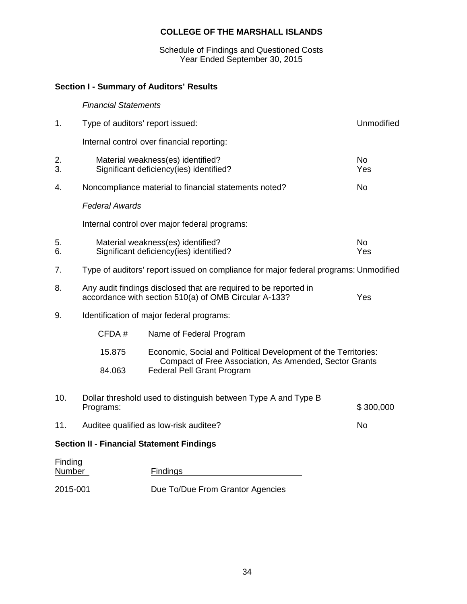Schedule of Findings and Questioned Costs Year Ended September 30, 2015

# **Section I - Summary of Auditors' Results**

*Financial Statements*

| 1.                | Type of auditors' report issued:<br>Unmodified                                                                                   |                                                                                             |           |  |  |  |  |  |
|-------------------|----------------------------------------------------------------------------------------------------------------------------------|---------------------------------------------------------------------------------------------|-----------|--|--|--|--|--|
|                   |                                                                                                                                  | Internal control over financial reporting:                                                  |           |  |  |  |  |  |
| 2.<br>3.          | Material weakness(es) identified?<br>Significant deficiency(ies) identified?<br>Yes                                              |                                                                                             |           |  |  |  |  |  |
| 4.                | Noncompliance material to financial statements noted?<br><b>No</b>                                                               |                                                                                             |           |  |  |  |  |  |
|                   | <b>Federal Awards</b>                                                                                                            |                                                                                             |           |  |  |  |  |  |
|                   |                                                                                                                                  | Internal control over major federal programs:                                               |           |  |  |  |  |  |
| 5.<br>6.          | Material weakness(es) identified?<br><b>No</b><br>Significant deficiency(ies) identified?<br>Yes                                 |                                                                                             |           |  |  |  |  |  |
| 7.                | Type of auditors' report issued on compliance for major federal programs: Unmodified                                             |                                                                                             |           |  |  |  |  |  |
| 8.                | Any audit findings disclosed that are required to be reported in<br>accordance with section 510(a) of OMB Circular A-133?<br>Yes |                                                                                             |           |  |  |  |  |  |
| 9.                |                                                                                                                                  | Identification of major federal programs:                                                   |           |  |  |  |  |  |
|                   | CFDA#                                                                                                                            | Name of Federal Program                                                                     |           |  |  |  |  |  |
|                   | 15.875                                                                                                                           | Economic, Social and Political Development of the Territories:                              |           |  |  |  |  |  |
|                   | 84.063                                                                                                                           | Compact of Free Association, As Amended, Sector Grants<br><b>Federal Pell Grant Program</b> |           |  |  |  |  |  |
| 10.               | Dollar threshold used to distinguish between Type A and Type B<br>Programs:                                                      |                                                                                             |           |  |  |  |  |  |
| 11.               |                                                                                                                                  | Auditee qualified as low-risk auditee?                                                      | <b>No</b> |  |  |  |  |  |
|                   |                                                                                                                                  | <b>Section II - Financial Statement Findings</b>                                            |           |  |  |  |  |  |
| Finding<br>Number |                                                                                                                                  | <b>Findings</b>                                                                             |           |  |  |  |  |  |
| 2015-001          |                                                                                                                                  | Due To/Due From Grantor Agencies                                                            |           |  |  |  |  |  |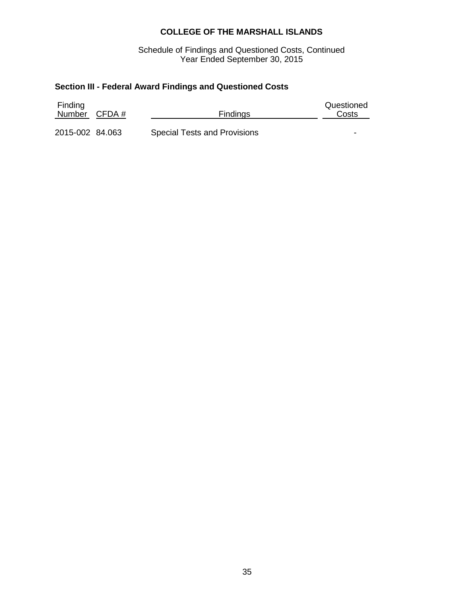Schedule of Findings and Questioned Costs, Continued Year Ended September 30, 2015

# **Section III - Federal Award Findings and Questioned Costs**

| Finding<br>Number | CFDA # | Findings                            | Questioned<br>Costs |
|-------------------|--------|-------------------------------------|---------------------|
| 2015-002 84.063   |        | <b>Special Tests and Provisions</b> | -                   |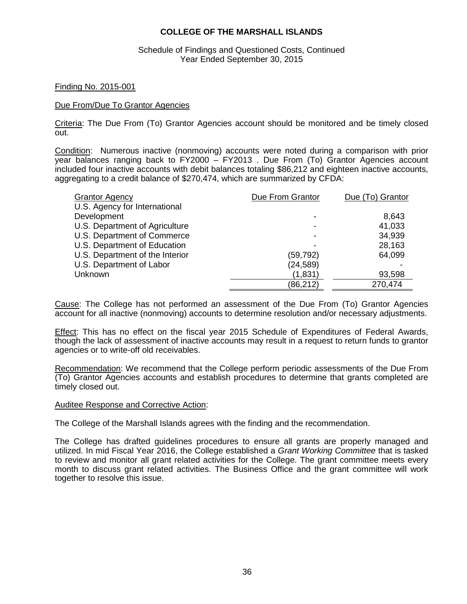### Schedule of Findings and Questioned Costs, Continued Year Ended September 30, 2015

### Finding No. 2015-001

### Due From/Due To Grantor Agencies

Criteria: The Due From (To) Grantor Agencies account should be monitored and be timely closed out.

Condition: Numerous inactive (nonmoving) accounts were noted during a comparison with prior year balances ranging back to FY2000 – FY2013 . Due From (To) Grantor Agencies account included four inactive accounts with debit balances totaling \$86,212 and eighteen inactive accounts, aggregating to a credit balance of \$270,474, which are summarized by CFDA:

| <b>Grantor Agency</b>           | Due From Grantor | Due (To) Grantor |
|---------------------------------|------------------|------------------|
| U.S. Agency for International   |                  |                  |
| Development                     |                  | 8,643            |
| U.S. Department of Agriculture  |                  | 41,033           |
| U.S. Department of Commerce     |                  | 34,939           |
| U.S. Department of Education    |                  | 28,163           |
| U.S. Department of the Interior | (59,792)         | 64,099           |
| U.S. Department of Labor        | (24, 589)        |                  |
| Unknown                         | (1,831)          | 93,598           |
|                                 | (86, 212)        | 270,474          |

Cause: The College has not performed an assessment of the Due From (To) Grantor Agencies account for all inactive (nonmoving) accounts to determine resolution and/or necessary adjustments.

Effect: This has no effect on the fiscal year 2015 Schedule of Expenditures of Federal Awards, though the lack of assessment of inactive accounts may result in a request to return funds to grantor agencies or to write-off old receivables.

Recommendation: We recommend that the College perform periodic assessments of the Due From (To) Grantor Agencies accounts and establish procedures to determine that grants completed are timely closed out.

#### Auditee Response and Corrective Action:

The College of the Marshall Islands agrees with the finding and the recommendation.

The College has drafted guidelines procedures to ensure all grants are properly managed and utilized. In mid Fiscal Year 2016, the College established a *Grant Working Committee* that is tasked to review and monitor all grant related activities for the College. The grant committee meets every month to discuss grant related activities. The Business Office and the grant committee will work together to resolve this issue.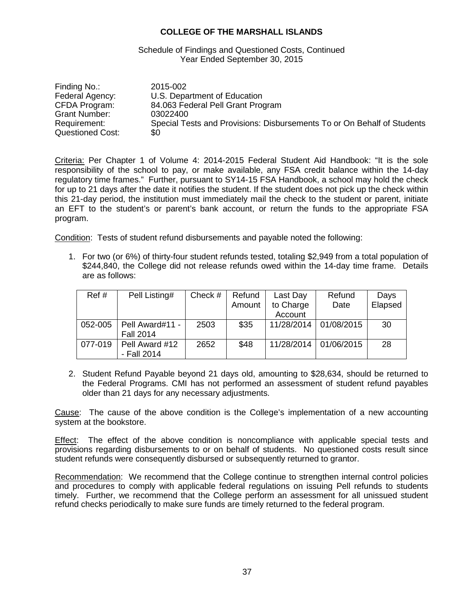Schedule of Findings and Questioned Costs, Continued Year Ended September 30, 2015

| Finding No.:            | 2015-002                                                                |
|-------------------------|-------------------------------------------------------------------------|
| Federal Agency:         | U.S. Department of Education                                            |
| CFDA Program:           | 84.063 Federal Pell Grant Program                                       |
| Grant Number:           | 03022400                                                                |
| Requirement:            | Special Tests and Provisions: Disbursements To or On Behalf of Students |
| <b>Questioned Cost:</b> | \$0                                                                     |

Criteria: Per Chapter 1 of Volume 4: 2014-2015 Federal Student Aid Handbook: "It is the sole responsibility of the school to pay, or make available, any FSA credit balance within the 14-day regulatory time frames." Further, pursuant to SY14-15 FSA Handbook, a school may hold the check for up to 21 days after the date it notifies the student. If the student does not pick up the check within this 21-day period, the institution must immediately mail the check to the student or parent, initiate an EFT to the student's or parent's bank account, or return the funds to the appropriate FSA program.

Condition: Tests of student refund disbursements and payable noted the following:

1. For two (or 6%) of thirty-four student refunds tested, totaling \$2,949 from a total population of \$244,840, the College did not release refunds owed within the 14-day time frame. Details are as follows:

| Ref#    | Pell Listing#    | Check # | Refund | Last Day   | Refund     | Days    |
|---------|------------------|---------|--------|------------|------------|---------|
|         |                  |         | Amount | to Charge  | Date       | Elapsed |
|         |                  |         |        | Account    |            |         |
| 052-005 | Pell Award#11 -  | 2503    | \$35   | 11/28/2014 | 01/08/2015 | 30      |
|         | <b>Fall 2014</b> |         |        |            |            |         |
| 077-019 | Pell Award #12   | 2652    | \$48   | 11/28/2014 | 01/06/2015 | 28      |
|         | - Fall 2014      |         |        |            |            |         |

2. Student Refund Payable beyond 21 days old, amounting to \$28,634, should be returned to the Federal Programs. CMI has not performed an assessment of student refund payables older than 21 days for any necessary adjustments.

Cause: The cause of the above condition is the College's implementation of a new accounting system at the bookstore.

Effect: The effect of the above condition is noncompliance with applicable special tests and provisions regarding disbursements to or on behalf of students. No questioned costs result since student refunds were consequently disbursed or subsequently returned to grantor.

Recommendation: We recommend that the College continue to strengthen internal control policies and procedures to comply with applicable federal regulations on issuing Pell refunds to students timely. Further, we recommend that the College perform an assessment for all unissued student refund checks periodically to make sure funds are timely returned to the federal program.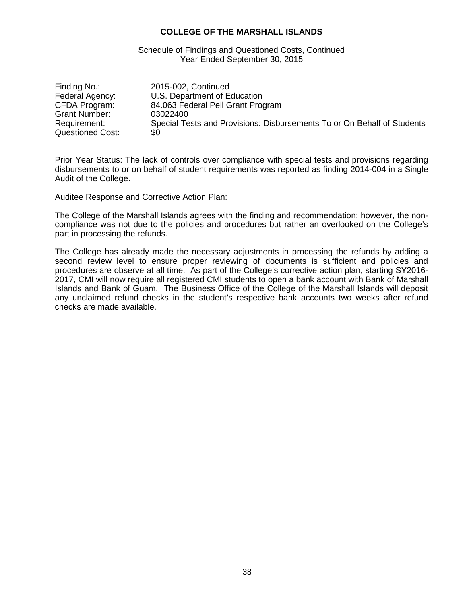Schedule of Findings and Questioned Costs, Continued Year Ended September 30, 2015

| Finding No.:            | 2015-002, Continued                                                     |
|-------------------------|-------------------------------------------------------------------------|
| Federal Agency:         | U.S. Department of Education                                            |
| CFDA Program:           | 84.063 Federal Pell Grant Program                                       |
| Grant Number:           | 03022400                                                                |
| Requirement:            | Special Tests and Provisions: Disbursements To or On Behalf of Students |
| <b>Questioned Cost:</b> | \$0                                                                     |

Prior Year Status: The lack of controls over compliance with special tests and provisions regarding disbursements to or on behalf of student requirements was reported as finding 2014-004 in a Single Audit of the College.

#### Auditee Response and Corrective Action Plan:

The College of the Marshall Islands agrees with the finding and recommendation; however, the noncompliance was not due to the policies and procedures but rather an overlooked on the College's part in processing the refunds.

The College has already made the necessary adjustments in processing the refunds by adding a second review level to ensure proper reviewing of documents is sufficient and policies and procedures are observe at all time. As part of the College's corrective action plan, starting SY2016- 2017, CMI will now require all registered CMI students to open a bank account with Bank of Marshall Islands and Bank of Guam. The Business Office of the College of the Marshall Islands will deposit any unclaimed refund checks in the student's respective bank accounts two weeks after refund checks are made available.